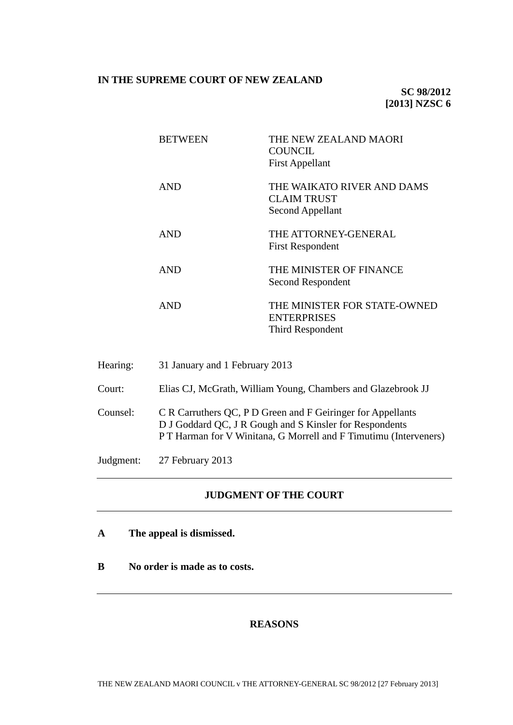### **IN THE SUPREME COURT OF NEW ZEALAND**

| <b>BETWEEN</b> | THE NEW ZEALAND MAORI<br>COUNCIL.<br><b>First Appellant</b>            |
|----------------|------------------------------------------------------------------------|
| <b>AND</b>     | THE WAIKATO RIVER AND DAMS<br><b>CLAIM TRUST</b><br>Second Appellant   |
| <b>AND</b>     | THE ATTORNEY-GENERAL<br><b>First Respondent</b>                        |
| <b>AND</b>     | THE MINISTER OF FINANCE<br>Second Respondent                           |
| AND            | THE MINISTER FOR STATE-OWNED<br><b>ENTERPRISES</b><br>Third Respondent |

- Hearing: 31 January and 1 February 2013
- Court: Elias CJ, McGrath, William Young, Chambers and Glazebrook JJ
- Counsel: C R Carruthers QC, P D Green and F Geiringer for Appellants D J Goddard QC, J R Gough and S Kinsler for Respondents P T Harman for V Winitana, G Morrell and F Timutimu (Interveners)
- Judgment: 27 February 2013

# **JUDGMENT OF THE COURT**

- **A The appeal is dismissed.**
- **B No order is made as to costs.**

# **REASONS**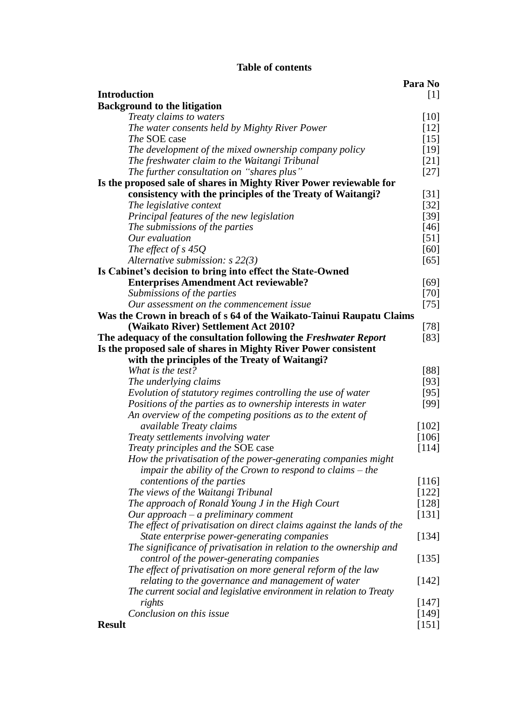# **Table of contents**

|                                                                       | Para No |
|-----------------------------------------------------------------------|---------|
| <b>Introduction</b>                                                   | $[1]$   |
| <b>Background to the litigation</b>                                   |         |
| Treaty claims to waters                                               | $[10]$  |
| The water consents held by Mighty River Power                         | $[12]$  |
| <i>The</i> SOE case                                                   | $[15]$  |
| The development of the mixed ownership company policy                 | $[19]$  |
| The freshwater claim to the Waitangi Tribunal                         | $[21]$  |
| The further consultation on "shares plus"                             | $[27]$  |
| Is the proposed sale of shares in Mighty River Power reviewable for   |         |
| consistency with the principles of the Treaty of Waitangi?            | [31]    |
| The legislative context                                               | $[32]$  |
| Principal features of the new legislation                             | $[39]$  |
| The submissions of the parties                                        | $[46]$  |
| Our evaluation                                                        | $[51]$  |
| The effect of $s$ 45Q                                                 | [60]    |
| Alternative submission: $s$ 22(3)                                     | $[65]$  |
| Is Cabinet's decision to bring into effect the State-Owned            |         |
| <b>Enterprises Amendment Act reviewable?</b>                          | [69]    |
| Submissions of the parties                                            | $[70]$  |
| Our assessment on the commencement issue                              | $[75]$  |
| Was the Crown in breach of s 64 of the Waikato-Tainui Raupatu Claims  |         |
| (Waikato River) Settlement Act 2010?                                  | $[78]$  |
| The adequacy of the consultation following the Freshwater Report      | $[83]$  |
| Is the proposed sale of shares in Mighty River Power consistent       |         |
| with the principles of the Treaty of Waitangi?                        |         |
| What is the test?                                                     | [88]    |
| The underlying claims                                                 | $[93]$  |
| Evolution of statutory regimes controlling the use of water           | $[95]$  |
| Positions of the parties as to ownership interests in water           | $[99]$  |
| An overview of the competing positions as to the extent of            |         |
| available Treaty claims                                               | $[102]$ |
| Treaty settlements involving water                                    | $[106]$ |
| Treaty principles and the SOE case                                    | [114]   |
| How the privatisation of the power-generating companies might         |         |
| impair the ability of the Crown to respond to claims $-$ the          |         |
| contentions of the parties                                            | [116]   |
| The views of the Waitangi Tribunal                                    | $[122]$ |
| The approach of Ronald Young J in the High Court                      | $[128]$ |
| Our approach – a preliminary comment                                  | [131]   |
| The effect of privatisation on direct claims against the lands of the |         |
| State enterprise power-generating companies                           | [134]   |
| The significance of privatisation in relation to the ownership and    |         |
| control of the power-generating companies                             | $[135]$ |
| The effect of privatisation on more general reform of the law         |         |
| relating to the governance and management of water                    | [142]   |
| The current social and legislative environment in relation to Treaty  |         |
| rights                                                                | $[147]$ |
| Conclusion on this issue                                              | $[149]$ |
| <b>Result</b>                                                         | [151]   |
|                                                                       |         |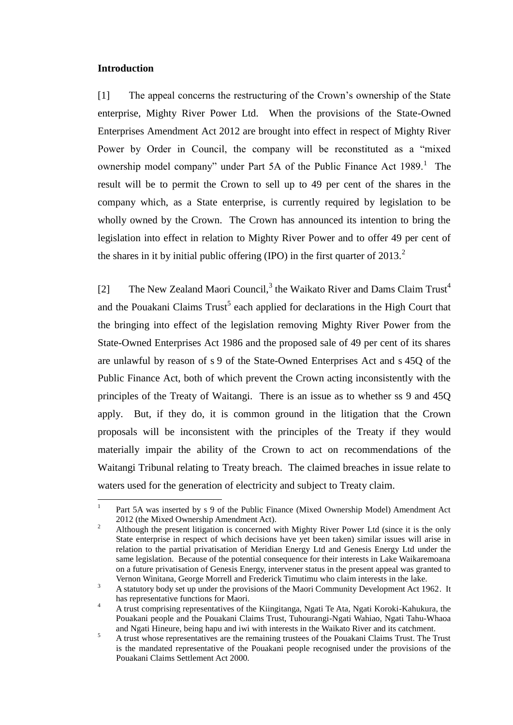### <span id="page-2-0"></span>**Introduction**

[1] The appeal concerns the restructuring of the Crown's ownership of the State enterprise, Mighty River Power Ltd. When the provisions of the State-Owned Enterprises Amendment Act 2012 are brought into effect in respect of Mighty River Power by Order in Council, the company will be reconstituted as a "mixed ownership model company" under Part 5A of the Public Finance Act 1989.<sup>1</sup> The result will be to permit the Crown to sell up to 49 per cent of the shares in the company which, as a State enterprise, is currently required by legislation to be wholly owned by the Crown. The Crown has announced its intention to bring the legislation into effect in relation to Mighty River Power and to offer 49 per cent of the shares in it by initial public offering (IPO) in the first quarter of 2013.<sup>2</sup>

[2] The New Zealand Maori Council,<sup>3</sup> the Waikato River and Dams Claim Trust<sup>4</sup> and the Pouakani Claims  $Trust<sup>5</sup>$  each applied for declarations in the High Court that the bringing into effect of the legislation removing Mighty River Power from the State-Owned Enterprises Act 1986 and the proposed sale of 49 per cent of its shares are unlawful by reason of s 9 of the State-Owned Enterprises Act and s 45Q of the Public Finance Act, both of which prevent the Crown acting inconsistently with the principles of the Treaty of Waitangi. There is an issue as to whether ss 9 and 45Q apply. But, if they do, it is common ground in the litigation that the Crown proposals will be inconsistent with the principles of the Treaty if they would materially impair the ability of the Crown to act on recommendations of the Waitangi Tribunal relating to Treaty breach. The claimed breaches in issue relate to waters used for the generation of electricity and subject to Treaty claim.

 $\frac{1}{1}$ Part 5A was inserted by s 9 of the Public Finance (Mixed Ownership Model) Amendment Act 2012 (the Mixed Ownership Amendment Act).

<sup>2</sup> Although the present litigation is concerned with Mighty River Power Ltd (since it is the only State enterprise in respect of which decisions have yet been taken) similar issues will arise in relation to the partial privatisation of Meridian Energy Ltd and Genesis Energy Ltd under the same legislation. Because of the potential consequence for their interests in Lake Waikaremoana on a future privatisation of Genesis Energy, intervener status in the present appeal was granted to Vernon Winitana, George Morrell and Frederick Timutimu who claim interests in the lake.

<sup>3</sup> A statutory body set up under the provisions of the Maori Community Development Act 1962. It has representative functions for Maori.

<sup>&</sup>lt;sup>4</sup> A trust comprising representatives of the Kiingitanga, Ngati Te Ata, Ngati Koroki-Kahukura, the Pouakani people and the Pouakani Claims Trust, Tuhourangi-Ngati Wahiao, Ngati Tahu-Whaoa and Ngati Hineure, being hapu and iwi with interests in the Waikato River and its catchment.

<sup>&</sup>lt;sup>5</sup> A trust whose representatives are the remaining trustees of the Pouakani Claims Trust. The Trust is the mandated representative of the Pouakani people recognised under the provisions of the Pouakani Claims Settlement Act 2000.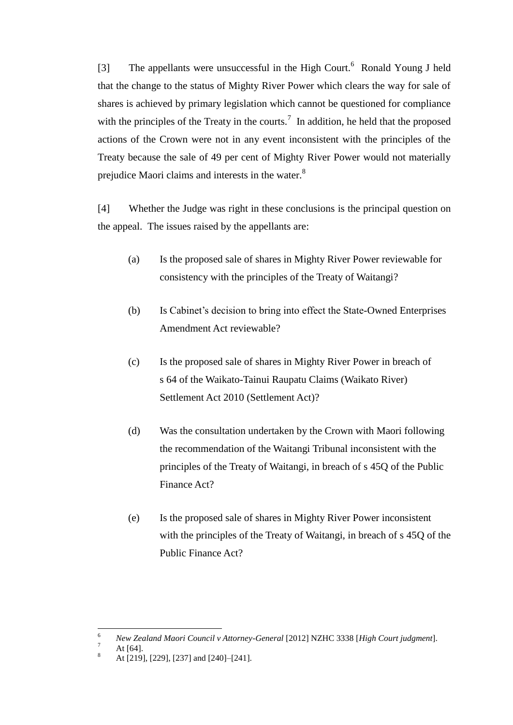<span id="page-3-0"></span>[3] The appellants were unsuccessful in the High Court.<sup>6</sup> Ronald Young J held that the change to the status of Mighty River Power which clears the way for sale of shares is achieved by primary legislation which cannot be questioned for compliance with the principles of the Treaty in the courts.<sup>7</sup> In addition, he held that the proposed actions of the Crown were not in any event inconsistent with the principles of the Treaty because the sale of 49 per cent of Mighty River Power would not materially prejudice Maori claims and interests in the water.<sup>8</sup>

[4] Whether the Judge was right in these conclusions is the principal question on the appeal. The issues raised by the appellants are:

- (a) Is the proposed sale of shares in Mighty River Power reviewable for consistency with the principles of the Treaty of Waitangi?
- (b) Is Cabinet's decision to bring into effect the State-Owned Enterprises Amendment Act reviewable?
- (c) Is the proposed sale of shares in Mighty River Power in breach of s 64 of the Waikato-Tainui Raupatu Claims (Waikato River) Settlement Act 2010 (Settlement Act)?
- (d) Was the consultation undertaken by the Crown with Maori following the recommendation of the Waitangi Tribunal inconsistent with the principles of the Treaty of Waitangi, in breach of s 45Q of the Public Finance Act?
- (e) Is the proposed sale of shares in Mighty River Power inconsistent with the principles of the Treaty of Waitangi, in breach of s 45Q of the Public Finance Act?

<sup>6</sup> <sup>6</sup> *New Zealand Maori Council v Attorney-General* [2012] NZHC 3338 [*High Court judgment*].

At  $[64]$ .

<sup>8</sup> At [219], [229], [237] and [240]–[241].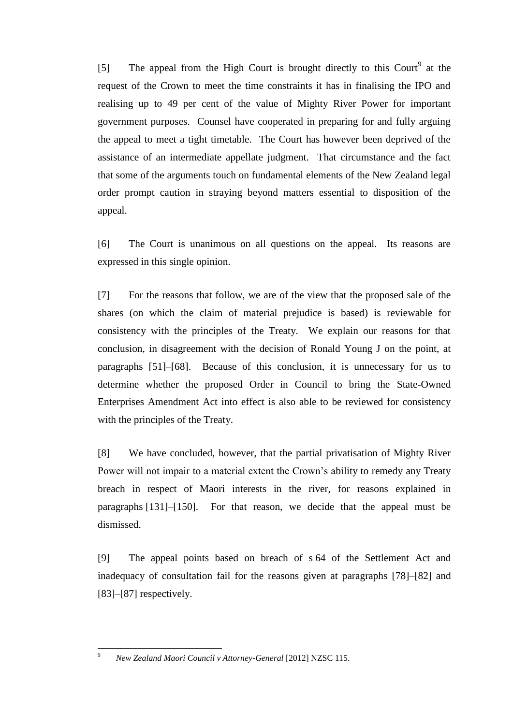[5] The appeal from the High Court is brought directly to this Court<sup>9</sup> at the request of the Crown to meet the time constraints it has in finalising the IPO and realising up to 49 per cent of the value of Mighty River Power for important government purposes. Counsel have cooperated in preparing for and fully arguing the appeal to meet a tight timetable. The Court has however been deprived of the assistance of an intermediate appellate judgment. That circumstance and the fact that some of the arguments touch on fundamental elements of the New Zealand legal order prompt caution in straying beyond matters essential to disposition of the appeal.

[6] The Court is unanimous on all questions on the appeal. Its reasons are expressed in this single opinion.

[7] For the reasons that follow, we are of the view that the proposed sale of the shares (on which the claim of material prejudice is based) is reviewable for consistency with the principles of the Treaty. We explain our reasons for that conclusion, in disagreement with the decision of Ronald Young J on the point, at paragraphs [\[51\]](#page-21-0)[–\[68\].](#page-26-2) Because of this conclusion, it is unnecessary for us to determine whether the proposed Order in Council to bring the State-Owned Enterprises Amendment Act into effect is also able to be reviewed for consistency with the principles of the Treaty.

[8] We have concluded, however, that the partial privatisation of Mighty River Power will not impair to a material extent the Crown's ability to remedy any Treaty breach in respect of Maori interests in the river, for reasons explained in paragraphs [\[131\]](#page-50-0)[–\[150\].](#page-58-2) For that reason, we decide that the appeal must be dismissed.

[9] The appeal points based on breach of s 64 of the Settlement Act and inadequacy of consultation fail for the reasons given at paragraphs [\[78\]](#page-28-1)[–\[82\]](#page-31-1) and [\[83\]](#page-31-0)[–\[87\]](#page-32-0) respectively.

 $\overline{9}$ 

<sup>9</sup> *New Zealand Maori Council v Attorney-General* [2012] NZSC 115.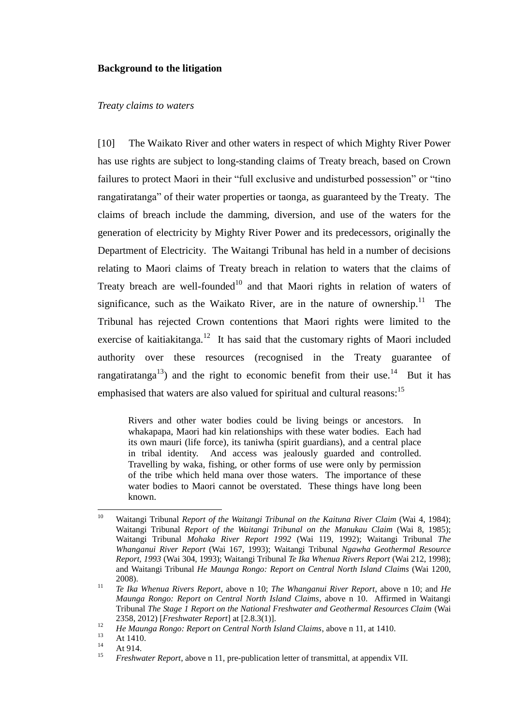#### **Background to the litigation**

#### *Treaty claims to waters*

<span id="page-5-0"></span>[10] The Waikato River and other waters in respect of which Mighty River Power has use rights are subject to long-standing claims of Treaty breach, based on Crown failures to protect Maori in their "full exclusive and undisturbed possession" or "tino rangatiratanga" of their water properties or taonga, as guaranteed by the Treaty. The claims of breach include the damming, diversion, and use of the waters for the generation of electricity by Mighty River Power and its predecessors, originally the Department of Electricity. The Waitangi Tribunal has held in a number of decisions relating to Maori claims of Treaty breach in relation to waters that the claims of Treaty breach are well-founded<sup>10</sup> and that Maori rights in relation of waters of significance, such as the Waikato River, are in the nature of ownership.<sup>11</sup> The Tribunal has rejected Crown contentions that Maori rights were limited to the exercise of kaitiakitanga. $12$  It has said that the customary rights of Maori included authority over these resources (recognised in the Treaty guarantee of rangatiratanga<sup>13</sup>) and the right to economic benefit from their use.<sup>14</sup> But it has emphasised that waters are also valued for spiritual and cultural reasons:<sup>15</sup>

<span id="page-5-2"></span><span id="page-5-1"></span>Rivers and other water bodies could be living beings or ancestors. In whakapapa, Maori had kin relationships with these water bodies. Each had its own mauri (life force), its taniwha (spirit guardians), and a central place in tribal identity. And access was jealously guarded and controlled. Travelling by waka, fishing, or other forms of use were only by permission of the tribe which held mana over those waters. The importance of these water bodies to Maori cannot be overstated. These things have long been known.

<sup>10</sup> <sup>10</sup> Waitangi Tribunal *Report of the Waitangi Tribunal on the Kaituna River Claim* (Wai 4, 1984); Waitangi Tribunal *Report of the Waitangi Tribunal on the Manukau Claim* (Wai 8, 1985); Waitangi Tribunal *Mohaka River Report 1992* (Wai 119, 1992); Waitangi Tribunal *The Whanganui River Report* (Wai 167, 1993); Waitangi Tribunal *Ngawha Geothermal Resource Report, 1993* (Wai 304, 1993); Waitangi Tribunal *Te Ika Whenua Rivers Report* (Wai 212, 1998); and Waitangi Tribunal *He Maunga Rongo: Report on Central North Island Claims* (Wai 1200, 2008).

<sup>11</sup> *Te Ika Whenua Rivers Report*, above n [10;](#page-5-1) *The Whanganui River Report*, above n [10;](#page-5-1) and *He Maunga Rongo: Report on Central North Island Claims*, above n [10.](#page-5-1) Affirmed in Waitangi Tribunal *The Stage 1 Report on the National Freshwater and Geothermal Resources Claim* (Wai 2358, 2012) [*Freshwater Report*] at [2.8.3(1)].

<sup>12</sup> *He Maunga Rongo: Report on Central North Island Claims*, above [n 11,](#page-5-2) at 1410.

 $13$  At 1410.

 $14$  At 914.

<sup>15</sup> *Freshwater Report*, above n [11,](#page-5-2) pre-publication letter of transmittal, at appendix VII.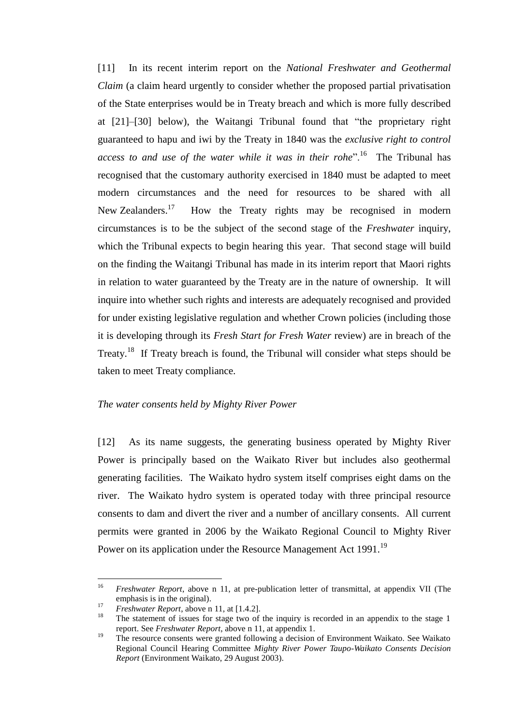[11] In its recent interim report on the *National Freshwater and Geothermal Claim* (a claim heard urgently to consider whether the proposed partial privatisation of the State enterprises would be in Treaty breach and which is more fully described at [\[21\]–](#page-11-0)[\[30\]](#page-15-2) below), the Waitangi Tribunal found that "the proprietary right guaranteed to hapu and iwi by the Treaty in 1840 was the *exclusive right to control*  access to and use of the water while it was in their rohe".<sup>16</sup> The Tribunal has recognised that the customary authority exercised in 1840 must be adapted to meet modern circumstances and the need for resources to be shared with all New Zealanders.<sup>17</sup> How the Treaty rights may be recognised in modern circumstances is to be the subject of the second stage of the *Freshwater* inquiry, which the Tribunal expects to begin hearing this year. That second stage will build on the finding the Waitangi Tribunal has made in its interim report that Maori rights in relation to water guaranteed by the Treaty are in the nature of ownership. It will inquire into whether such rights and interests are adequately recognised and provided for under existing legislative regulation and whether Crown policies (including those it is developing through its *Fresh Start for Fresh Water* review) are in breach of the Treaty.<sup>18</sup> If Treaty breach is found, the Tribunal will consider what steps should be taken to meet Treaty compliance.

#### *The water consents held by Mighty River Power*

<span id="page-6-0"></span>[12] As its name suggests, the generating business operated by Mighty River Power is principally based on the Waikato River but includes also geothermal generating facilities. The Waikato hydro system itself comprises eight dams on the river. The Waikato hydro system is operated today with three principal resource consents to dam and divert the river and a number of ancillary consents. All current permits were granted in 2006 by the Waikato Regional Council to Mighty River Power on its application under the Resource Management Act 1991.<sup>19</sup>

<sup>16</sup> <sup>16</sup> *Freshwater Report*, above n [11,](#page-5-2) at pre-publication letter of transmittal, at appendix VII (The emphasis is in the original).

<sup>&</sup>lt;sup>17</sup> *Freshwater Report*, above n [11,](#page-5-2) at [1.4.2].

The statement of issues for stage two of the inquiry is recorded in an appendix to the stage 1 report. See *Freshwater Report*, above n [11,](#page-5-2) at appendix 1.

<sup>&</sup>lt;sup>19</sup> The resource consents were granted following a decision of Environment Waikato. See Waikato Regional Council Hearing Committee *Mighty River Power Taupo-Waikato Consents Decision Report* (Environment Waikato, 29 August 2003).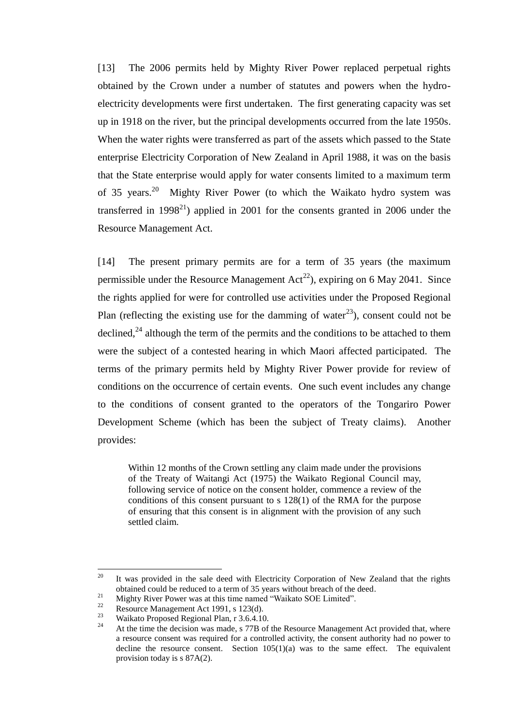[13] The 2006 permits held by Mighty River Power replaced perpetual rights obtained by the Crown under a number of statutes and powers when the hydroelectricity developments were first undertaken. The first generating capacity was set up in 1918 on the river, but the principal developments occurred from the late 1950s. When the water rights were transferred as part of the assets which passed to the State enterprise Electricity Corporation of New Zealand in April 1988, it was on the basis that the State enterprise would apply for water consents limited to a maximum term of 35 years.<sup>20</sup> Mighty River Power (to which the Waikato hydro system was transferred in 1998<sup>21</sup>) applied in 2001 for the consents granted in 2006 under the Resource Management Act.

<span id="page-7-0"></span>[14] The present primary permits are for a term of 35 years (the maximum permissible under the Resource Management  $Act^{22}$ , expiring on 6 May 2041. Since the rights applied for were for controlled use activities under the Proposed Regional Plan (reflecting the existing use for the damming of water<sup>23</sup>), consent could not be declined.<sup>24</sup> although the term of the permits and the conditions to be attached to them were the subject of a contested hearing in which Maori affected participated. The terms of the primary permits held by Mighty River Power provide for review of conditions on the occurrence of certain events. One such event includes any change to the conditions of consent granted to the operators of the Tongariro Power Development Scheme (which has been the subject of Treaty claims). Another provides:

Within 12 months of the Crown settling any claim made under the provisions of the Treaty of Waitangi Act (1975) the Waikato Regional Council may, following service of notice on the consent holder, commence a review of the conditions of this consent pursuant to s 128(1) of the RMA for the purpose of ensuring that this consent is in alignment with the provision of any such settled claim.

<sup>&</sup>lt;sup>20</sup> It was provided in the sale deed with Electricity Corporation of New Zealand that the rights obtained could be reduced to a term of 35 years without breach of the deed.

<sup>&</sup>lt;sup>21</sup> Mighty River Power was at this time named "Waikato SOE Limited".<br> **Proposement Act 1001** a 122(d)

<sup>&</sup>lt;sup>22</sup> Resource Management Act 1991, s 123(d).<br><sup>23</sup> Weilate Presearch Besienal Plan n  $2,6,4,16$ 

<sup>&</sup>lt;sup>23</sup> Waikato Proposed Regional Plan, r 3.6.4.10.<br><sup>24</sup> At the time the decision was made a  $77R$  of

At the time the decision was made, s 77B of the Resource Management Act provided that, where a resource consent was required for a controlled activity, the consent authority had no power to decline the resource consent. Section  $105(1)(a)$  was to the same effect. The equivalent provision today is s 87A(2).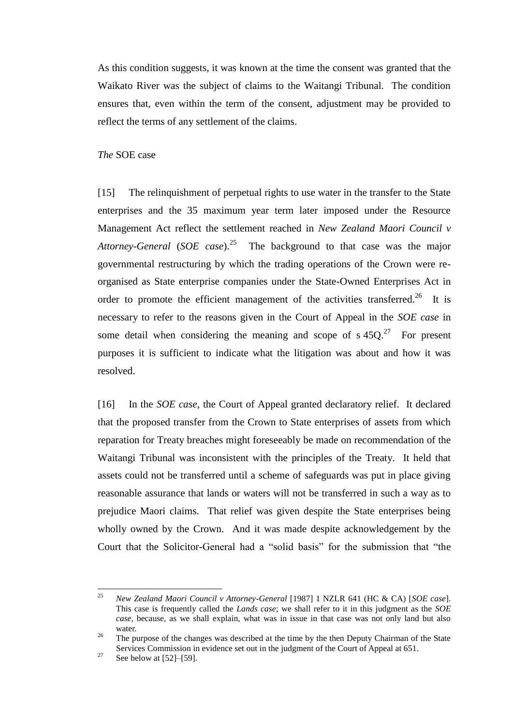As this condition suggests, it was known at the time the consent was granted that the Waikato River was the subject of claims to the Waitangi Tribunal. The condition ensures that, even within the term of the consent, adjustment may be provided to reflect the terms of any settlement of the claims.

#### *The* SOE case

<span id="page-8-1"></span><span id="page-8-0"></span>[15] The relinquishment of perpetual rights to use water in the transfer to the State enterprises and the 35 maximum year term later imposed under the Resource Management Act reflect the settlement reached in *New Zealand Maori Council v Attorney-General* (*SOE case*). <sup>25</sup> The background to that case was the major governmental restructuring by which the trading operations of the Crown were reorganised as State enterprise companies under the State-Owned Enterprises Act in order to promote the efficient management of the activities transferred.<sup>26</sup> It is necessary to refer to the reasons given in the Court of Appeal in the *SOE case* in some detail when considering the meaning and scope of  $s 45Q$ <sup>27</sup> For present purposes it is sufficient to indicate what the litigation was about and how it was resolved.

[16] In the *SOE case*, the Court of Appeal granted declaratory relief. It declared that the proposed transfer from the Crown to State enterprises of assets from which reparation for Treaty breaches might foreseeably be made on recommendation of the Waitangi Tribunal was inconsistent with the principles of the Treaty. It held that assets could not be transferred until a scheme of safeguards was put in place giving reasonable assurance that lands or waters will not be transferred in such a way as to prejudice Maori claims. That relief was given despite the State enterprises being wholly owned by the Crown. And it was made despite acknowledgement by the Court that the Solicitor-General had a "solid basis" for the submission that "the

<sup>25</sup> <sup>25</sup> *New Zealand Maori Council v Attorney-General* [1987] 1 NZLR 641 (HC & CA) [*SOE case*]. This case is frequently called the *Lands case*; we shall refer to it in this judgment as the *SOE case*, because, as we shall explain, what was in issue in that case was not only land but also water.

<sup>&</sup>lt;sup>26</sup> The purpose of the changes was described at the time by the then Deputy Chairman of the State Services Commission in evidence set out in the judgment of the Court of Appeal at 651.

 $27$  See below at [\[52\]–](#page-21-1)[\[59\].](#page-23-0)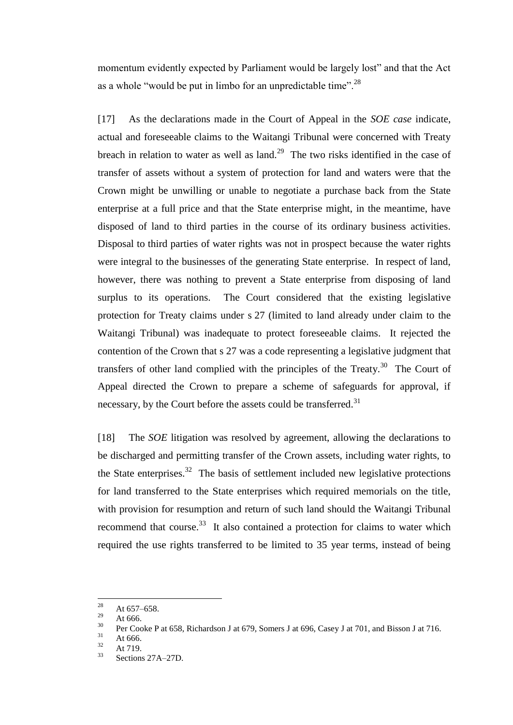momentum evidently expected by Parliament would be largely lost" and that the Act as a whole "would be put in limbo for an unpredictable time".<sup>28</sup>

[17] As the declarations made in the Court of Appeal in the *SOE case* indicate, actual and foreseeable claims to the Waitangi Tribunal were concerned with Treaty breach in relation to water as well as land.<sup>29</sup> The two risks identified in the case of transfer of assets without a system of protection for land and waters were that the Crown might be unwilling or unable to negotiate a purchase back from the State enterprise at a full price and that the State enterprise might, in the meantime, have disposed of land to third parties in the course of its ordinary business activities. Disposal to third parties of water rights was not in prospect because the water rights were integral to the businesses of the generating State enterprise. In respect of land, however, there was nothing to prevent a State enterprise from disposing of land surplus to its operations. The Court considered that the existing legislative protection for Treaty claims under s 27 (limited to land already under claim to the Waitangi Tribunal) was inadequate to protect foreseeable claims. It rejected the contention of the Crown that s 27 was a code representing a legislative judgment that transfers of other land complied with the principles of the Treaty.<sup>30</sup> The Court of Appeal directed the Crown to prepare a scheme of safeguards for approval, if necessary, by the Court before the assets could be transferred.<sup>31</sup>

<span id="page-9-0"></span>[18] The *SOE* litigation was resolved by agreement, allowing the declarations to be discharged and permitting transfer of the Crown assets, including water rights, to the State enterprises.<sup>32</sup> The basis of settlement included new legislative protections for land transferred to the State enterprises which required memorials on the title, with provision for resumption and return of such land should the Waitangi Tribunal recommend that course.<sup>33</sup> It also contained a protection for claims to water which required the use rights transferred to be limited to 35 year terms, instead of being

<sup>28</sup>  $\frac{28}{29}$  At 657–658.

 $\frac{29}{30}$  At 666.

<sup>&</sup>lt;sup>30</sup> Per Cooke P at 658, Richardson J at 679, Somers J at 696, Casey J at 701, and Bisson J at 716.

 $\frac{31}{32}$  At 666.

 $\frac{32}{33}$  At 719.

Sections 27A–27D.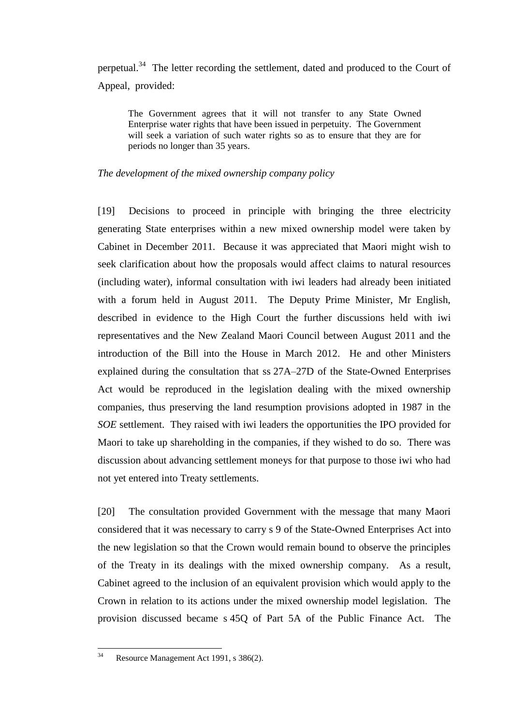perpetual.<sup>34</sup> The letter recording the settlement, dated and produced to the Court of Appeal, provided:

The Government agrees that it will not transfer to any State Owned Enterprise water rights that have been issued in perpetuity. The Government will seek a variation of such water rights so as to ensure that they are for periods no longer than 35 years.

#### *The development of the mixed ownership company policy*

<span id="page-10-0"></span>[19] Decisions to proceed in principle with bringing the three electricity generating State enterprises within a new mixed ownership model were taken by Cabinet in December 2011. Because it was appreciated that Maori might wish to seek clarification about how the proposals would affect claims to natural resources (including water), informal consultation with iwi leaders had already been initiated with a forum held in August 2011. The Deputy Prime Minister, Mr English, described in evidence to the High Court the further discussions held with iwi representatives and the New Zealand Maori Council between August 2011 and the introduction of the Bill into the House in March 2012. He and other Ministers explained during the consultation that ss 27A–27D of the State-Owned Enterprises Act would be reproduced in the legislation dealing with the mixed ownership companies, thus preserving the land resumption provisions adopted in 1987 in the *SOE* settlement. They raised with iwi leaders the opportunities the IPO provided for Maori to take up shareholding in the companies, if they wished to do so. There was discussion about advancing settlement moneys for that purpose to those iwi who had not yet entered into Treaty settlements.

[20] The consultation provided Government with the message that many Maori considered that it was necessary to carry s 9 of the State-Owned Enterprises Act into the new legislation so that the Crown would remain bound to observe the principles of the Treaty in its dealings with the mixed ownership company. As a result, Cabinet agreed to the inclusion of an equivalent provision which would apply to the Crown in relation to its actions under the mixed ownership model legislation. The provision discussed became s 45Q of Part 5A of the Public Finance Act. The

 $34$ Resource Management Act 1991, s 386(2).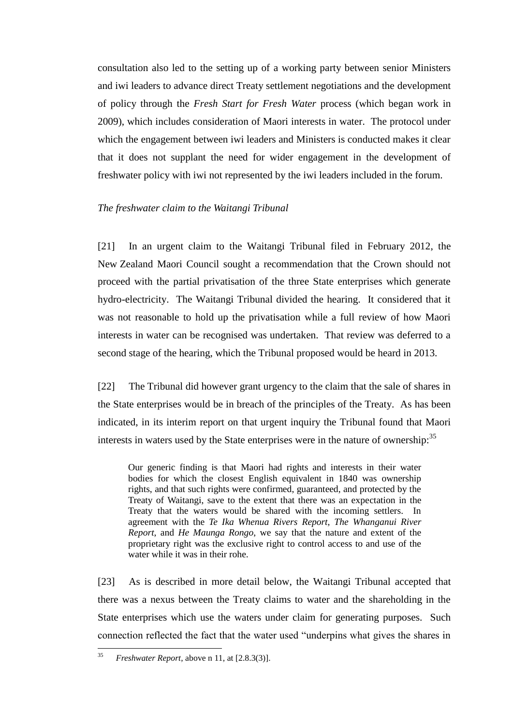consultation also led to the setting up of a working party between senior Ministers and iwi leaders to advance direct Treaty settlement negotiations and the development of policy through the *Fresh Start for Fresh Water* process (which began work in 2009), which includes consideration of Maori interests in water. The protocol under which the engagement between iwi leaders and Ministers is conducted makes it clear that it does not supplant the need for wider engagement in the development of freshwater policy with iwi not represented by the iwi leaders included in the forum.

### *The freshwater claim to the Waitangi Tribunal*

<span id="page-11-0"></span>[21] In an urgent claim to the Waitangi Tribunal filed in February 2012, the New Zealand Maori Council sought a recommendation that the Crown should not proceed with the partial privatisation of the three State enterprises which generate hydro-electricity. The Waitangi Tribunal divided the hearing. It considered that it was not reasonable to hold up the privatisation while a full review of how Maori interests in water can be recognised was undertaken. That review was deferred to a second stage of the hearing, which the Tribunal proposed would be heard in 2013.

[22] The Tribunal did however grant urgency to the claim that the sale of shares in the State enterprises would be in breach of the principles of the Treaty. As has been indicated, in its interim report on that urgent inquiry the Tribunal found that Maori interests in waters used by the State enterprises were in the nature of ownership:<sup>35</sup>

Our generic finding is that Maori had rights and interests in their water bodies for which the closest English equivalent in 1840 was ownership rights, and that such rights were confirmed, guaranteed, and protected by the Treaty of Waitangi, save to the extent that there was an expectation in the Treaty that the waters would be shared with the incoming settlers. In agreement with the *Te Ika Whenua Rivers Report*, *The Whanganui River Report*, and *He Maunga Rongo*, we say that the nature and extent of the proprietary right was the exclusive right to control access to and use of the water while it was in their rohe.

[23] As is described in more detail below, the Waitangi Tribunal accepted that there was a nexus between the Treaty claims to water and the shareholding in the State enterprises which use the waters under claim for generating purposes. Such connection reflected the fact that the water used "underpins what gives the shares in

<sup>35</sup> <sup>35</sup> *Freshwater Report*, above n [11,](#page-5-2) at [2.8.3(3)].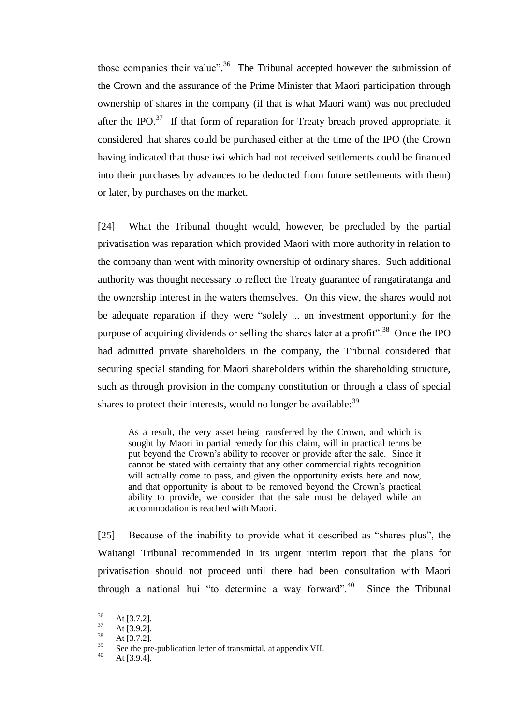those companies their value".<sup>36</sup> The Tribunal accepted however the submission of the Crown and the assurance of the Prime Minister that Maori participation through ownership of shares in the company (if that is what Maori want) was not precluded after the IPO. $37$  If that form of reparation for Treaty breach proved appropriate, it considered that shares could be purchased either at the time of the IPO (the Crown having indicated that those iwi which had not received settlements could be financed into their purchases by advances to be deducted from future settlements with them) or later, by purchases on the market.

<span id="page-12-0"></span>[24] What the Tribunal thought would, however, be precluded by the partial privatisation was reparation which provided Maori with more authority in relation to the company than went with minority ownership of ordinary shares. Such additional authority was thought necessary to reflect the Treaty guarantee of rangatiratanga and the ownership interest in the waters themselves. On this view, the shares would not be adequate reparation if they were "solely ... an investment opportunity for the purpose of acquiring dividends or selling the shares later at a profit".<sup>38</sup> Once the IPO had admitted private shareholders in the company, the Tribunal considered that securing special standing for Maori shareholders within the shareholding structure, such as through provision in the company constitution or through a class of special shares to protect their interests, would no longer be available:  $39$ 

<span id="page-12-1"></span>As a result, the very asset being transferred by the Crown, and which is sought by Maori in partial remedy for this claim, will in practical terms be put beyond the Crown's ability to recover or provide after the sale. Since it cannot be stated with certainty that any other commercial rights recognition will actually come to pass, and given the opportunity exists here and now, and that opportunity is about to be removed beyond the Crown's practical ability to provide, we consider that the sale must be delayed while an accommodation is reached with Maori.

[25] Because of the inability to provide what it described as "shares plus", the Waitangi Tribunal recommended in its urgent interim report that the plans for privatisation should not proceed until there had been consultation with Maori through a national hui "to determine a way forward".  $40^{\circ}$ Since the Tribunal

<sup>36</sup>  $\frac{36}{37}$  At [3.7.2].

 $\frac{37}{38}$  At [3.9.2].

 $\frac{38}{39}$  At [3.7.2].

 $39$  See the pre-publication letter of transmittal, at appendix VII.

At  $[3.9.4]$ .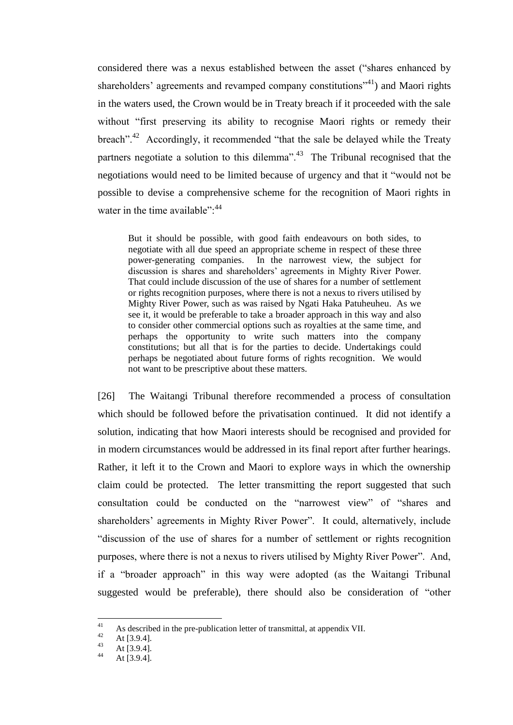considered there was a nexus established between the asset ("shares enhanced by shareholders' agreements and revamped company constitutions<sup> $241$ </sup>) and Maori rights in the waters used, the Crown would be in Treaty breach if it proceeded with the sale without "first preserving its ability to recognise Maori rights or remedy their breach".<sup>42</sup> Accordingly, it recommended "that the sale be delayed while the Treaty partners negotiate a solution to this dilemma".<sup>43</sup> The Tribunal recognised that the negotiations would need to be limited because of urgency and that it "would not be possible to devise a comprehensive scheme for the recognition of Maori rights in water in the time available": <sup>44</sup>

But it should be possible, with good faith endeavours on both sides, to negotiate with all due speed an appropriate scheme in respect of these three power-generating companies. In the narrowest view, the subject for discussion is shares and shareholders' agreements in Mighty River Power. That could include discussion of the use of shares for a number of settlement or rights recognition purposes, where there is not a nexus to rivers utilised by Mighty River Power, such as was raised by Ngati Haka Patuheuheu. As we see it, it would be preferable to take a broader approach in this way and also to consider other commercial options such as royalties at the same time, and perhaps the opportunity to write such matters into the company constitutions; but all that is for the parties to decide. Undertakings could perhaps be negotiated about future forms of rights recognition. We would not want to be prescriptive about these matters.

<span id="page-13-0"></span>[26] The Waitangi Tribunal therefore recommended a process of consultation which should be followed before the privatisation continued. It did not identify a solution, indicating that how Maori interests should be recognised and provided for in modern circumstances would be addressed in its final report after further hearings. Rather, it left it to the Crown and Maori to explore ways in which the ownership claim could be protected. The letter transmitting the report suggested that such consultation could be conducted on the "narrowest view" of "shares and shareholders' agreements in Mighty River Power". It could, alternatively, include "discussion of the use of shares for a number of settlement or rights recognition purposes, where there is not a nexus to rivers utilised by Mighty River Power". And, if a "broader approach" in this way were adopted (as the Waitangi Tribunal suggested would be preferable), there should also be consideration of "other

 $41$ <sup>41</sup> As described in the pre-publication letter of transmittal, at appendix VII.<br> $42 \Delta t$  [3.0.4]

<sup>&</sup>lt;sup>42</sup> At [3.9.4].

 $43$  At [3.9.4].

At  $[3.9.4]$ .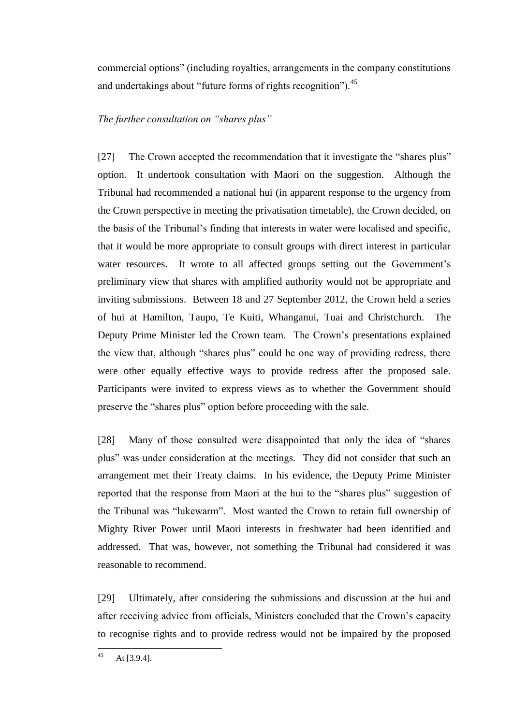commercial options" (including royalties, arrangements in the company constitutions and undertakings about "future forms of rights recognition").<sup>45</sup>

# *The further consultation on "shares plus"*

<span id="page-14-0"></span>[27] The Crown accepted the recommendation that it investigate the "shares plus" option. It undertook consultation with Maori on the suggestion. Although the Tribunal had recommended a national hui (in apparent response to the urgency from the Crown perspective in meeting the privatisation timetable), the Crown decided, on the basis of the Tribunal's finding that interests in water were localised and specific, that it would be more appropriate to consult groups with direct interest in particular water resources. It wrote to all affected groups setting out the Government's preliminary view that shares with amplified authority would not be appropriate and inviting submissions. Between 18 and 27 September 2012, the Crown held a series of hui at Hamilton, Taupo, Te Kuiti, Whanganui, Tuai and Christchurch. The Deputy Prime Minister led the Crown team. The Crown's presentations explained the view that, although "shares plus" could be one way of providing redress, there were other equally effective ways to provide redress after the proposed sale. Participants were invited to express views as to whether the Government should preserve the "shares plus" option before proceeding with the sale.

[28] Many of those consulted were disappointed that only the idea of "shares plus" was under consideration at the meetings. They did not consider that such an arrangement met their Treaty claims. In his evidence, the Deputy Prime Minister reported that the response from Maori at the hui to the "shares plus" suggestion of the Tribunal was "lukewarm". Most wanted the Crown to retain full ownership of Mighty River Power until Maori interests in freshwater had been identified and addressed. That was, however, not something the Tribunal had considered it was reasonable to recommend.

[29] Ultimately, after considering the submissions and discussion at the hui and after receiving advice from officials, Ministers concluded that the Crown's capacity to recognise rights and to provide redress would not be impaired by the proposed

 $45$ At  $[3.9.4]$ .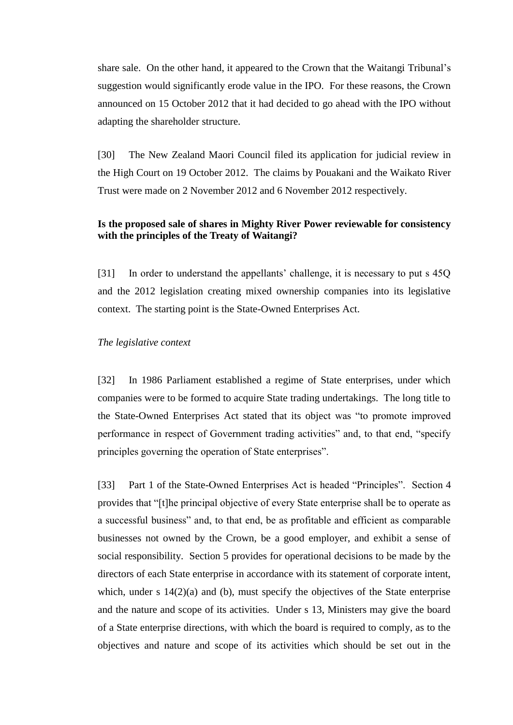share sale. On the other hand, it appeared to the Crown that the Waitangi Tribunal's suggestion would significantly erode value in the IPO. For these reasons, the Crown announced on 15 October 2012 that it had decided to go ahead with the IPO without adapting the shareholder structure.

<span id="page-15-2"></span>[30] The New Zealand Maori Council filed its application for judicial review in the High Court on 19 October 2012. The claims by Pouakani and the Waikato River Trust were made on 2 November 2012 and 6 November 2012 respectively.

# **Is the proposed sale of shares in Mighty River Power reviewable for consistency with the principles of the Treaty of Waitangi?**

<span id="page-15-0"></span>[31] In order to understand the appellants' challenge, it is necessary to put s 45Q and the 2012 legislation creating mixed ownership companies into its legislative context. The starting point is the State-Owned Enterprises Act.

### *The legislative context*

<span id="page-15-1"></span>[32] In 1986 Parliament established a regime of State enterprises, under which companies were to be formed to acquire State trading undertakings. The long title to the State-Owned Enterprises Act stated that its object was "to promote improved performance in respect of Government trading activities" and, to that end, "specify principles governing the operation of State enterprises".

<span id="page-15-3"></span>[33] Part 1 of the State-Owned Enterprises Act is headed "Principles". Section 4 provides that "[t]he principal objective of every State enterprise shall be to operate as a successful business" and, to that end, be as profitable and efficient as comparable businesses not owned by the Crown, be a good employer, and exhibit a sense of social responsibility. Section 5 provides for operational decisions to be made by the directors of each State enterprise in accordance with its statement of corporate intent, which, under s  $14(2)(a)$  and (b), must specify the objectives of the State enterprise and the nature and scope of its activities. Under s 13, Ministers may give the board of a State enterprise directions, with which the board is required to comply, as to the objectives and nature and scope of its activities which should be set out in the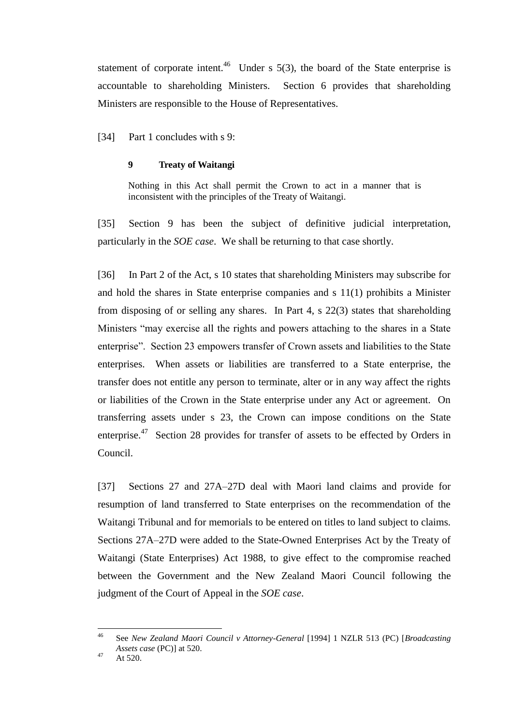<span id="page-16-0"></span>statement of corporate intent.<sup>46</sup> Under s  $5(3)$ , the board of the State enterprise is accountable to shareholding Ministers. Section 6 provides that shareholding Ministers are responsible to the House of Representatives.

[34] Part 1 concludes with s 9:

### **9 Treaty of Waitangi**

Nothing in this Act shall permit the Crown to act in a manner that is inconsistent with the principles of the Treaty of Waitangi.

[35] Section 9 has been the subject of definitive judicial interpretation, particularly in the *SOE case*. We shall be returning to that case shortly.

<span id="page-16-1"></span>[36] In Part 2 of the Act, s 10 states that shareholding Ministers may subscribe for and hold the shares in State enterprise companies and s 11(1) prohibits a Minister from disposing of or selling any shares. In Part 4, s 22(3) states that shareholding Ministers "may exercise all the rights and powers attaching to the shares in a State enterprise". Section 23 empowers transfer of Crown assets and liabilities to the State enterprises. When assets or liabilities are transferred to a State enterprise, the transfer does not entitle any person to terminate, alter or in any way affect the rights or liabilities of the Crown in the State enterprise under any Act or agreement. On transferring assets under s 23, the Crown can impose conditions on the State enterprise.<sup>47</sup> Section 28 provides for transfer of assets to be effected by Orders in Council.

[37] Sections 27 and 27A–27D deal with Maori land claims and provide for resumption of land transferred to State enterprises on the recommendation of the Waitangi Tribunal and for memorials to be entered on titles to land subject to claims. Sections 27A–27D were added to the State-Owned Enterprises Act by the Treaty of Waitangi (State Enterprises) Act 1988, to give effect to the compromise reached between the Government and the New Zealand Maori Council following the judgment of the Court of Appeal in the *SOE case*.

<sup>46</sup> <sup>46</sup> See *New Zealand Maori Council v Attorney-General* [1994] 1 NZLR 513 (PC) [*Broadcasting Assets case* (PC)] at 520.

 $47$  At 520.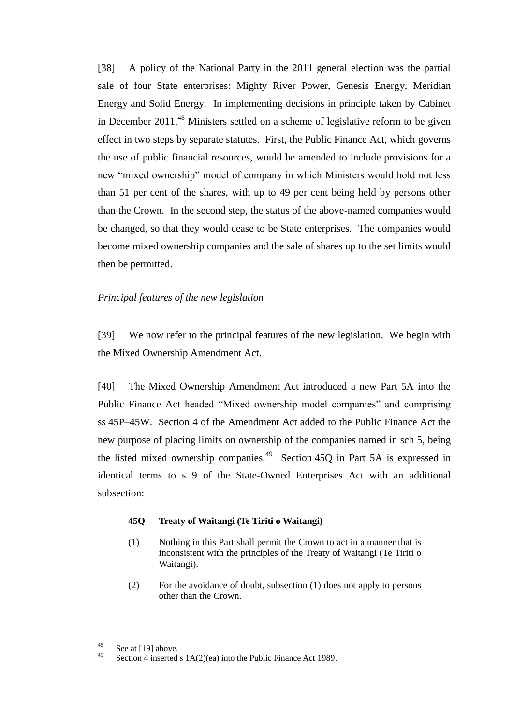[38] A policy of the National Party in the 2011 general election was the partial sale of four State enterprises: Mighty River Power, Genesis Energy, Meridian Energy and Solid Energy. In implementing decisions in principle taken by Cabinet in December 2011,  $48$  Ministers settled on a scheme of legislative reform to be given effect in two steps by separate statutes. First, the Public Finance Act, which governs the use of public financial resources, would be amended to include provisions for a new "mixed ownership" model of company in which Ministers would hold not less than 51 per cent of the shares, with up to 49 per cent being held by persons other than the Crown. In the second step, the status of the above-named companies would be changed, so that they would cease to be State enterprises. The companies would become mixed ownership companies and the sale of shares up to the set limits would then be permitted.

### *Principal features of the new legislation*

<span id="page-17-0"></span>[39] We now refer to the principal features of the new legislation. We begin with the Mixed Ownership Amendment Act.

[40] The Mixed Ownership Amendment Act introduced a new Part 5A into the Public Finance Act headed "Mixed ownership model companies" and comprising ss 45P–45W. Section 4 of the Amendment Act added to the Public Finance Act the new purpose of placing limits on ownership of the companies named in sch 5, being the listed mixed ownership companies.<sup>49</sup> Section 45Q in Part 5A is expressed in identical terms to s 9 of the State-Owned Enterprises Act with an additional subsection:

#### **45Q Treaty of Waitangi (Te Tiriti o Waitangi)**

- (1) Nothing in this Part shall permit the Crown to act in a manner that is inconsistent with the principles of the Treaty of Waitangi (Te Tiriti o Waitangi).
- (2) For the avoidance of doubt, subsection (1) does not apply to persons other than the Crown.

<sup>48</sup>  $rac{48}{49}$  See at [\[19\]](#page-10-0) above.

Section 4 inserted s  $1A(2)(ea)$  into the Public Finance Act 1989.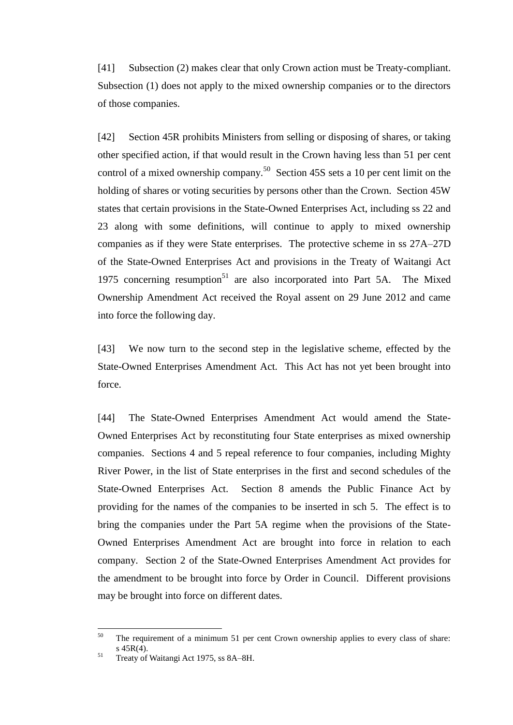[41] Subsection (2) makes clear that only Crown action must be Treaty-compliant. Subsection (1) does not apply to the mixed ownership companies or to the directors of those companies.

[42] Section 45R prohibits Ministers from selling or disposing of shares, or taking other specified action, if that would result in the Crown having less than 51 per cent control of a mixed ownership company.<sup>50</sup> Section 45S sets a 10 per cent limit on the holding of shares or voting securities by persons other than the Crown. Section 45W states that certain provisions in the State-Owned Enterprises Act, including ss 22 and 23 along with some definitions, will continue to apply to mixed ownership companies as if they were State enterprises. The protective scheme in ss 27A–27D of the State-Owned Enterprises Act and provisions in the Treaty of Waitangi Act 1975 concerning resumption<sup>51</sup> are also incorporated into Part 5A. The Mixed Ownership Amendment Act received the Royal assent on 29 June 2012 and came into force the following day.

[43] We now turn to the second step in the legislative scheme, effected by the State-Owned Enterprises Amendment Act. This Act has not yet been brought into force.

[44] The State-Owned Enterprises Amendment Act would amend the State-Owned Enterprises Act by reconstituting four State enterprises as mixed ownership companies. Sections 4 and 5 repeal reference to four companies, including Mighty River Power, in the list of State enterprises in the first and second schedules of the State-Owned Enterprises Act. Section 8 amends the Public Finance Act by providing for the names of the companies to be inserted in sch 5. The effect is to bring the companies under the Part 5A regime when the provisions of the State-Owned Enterprises Amendment Act are brought into force in relation to each company. Section 2 of the State-Owned Enterprises Amendment Act provides for the amendment to be brought into force by Order in Council. Different provisions may be brought into force on different dates.

<sup>50</sup> The requirement of a minimum 51 per cent Crown ownership applies to every class of share: s 45R(4).

<sup>&</sup>lt;sup>51</sup> Treaty of Waitangi Act 1975, ss 8A–8H.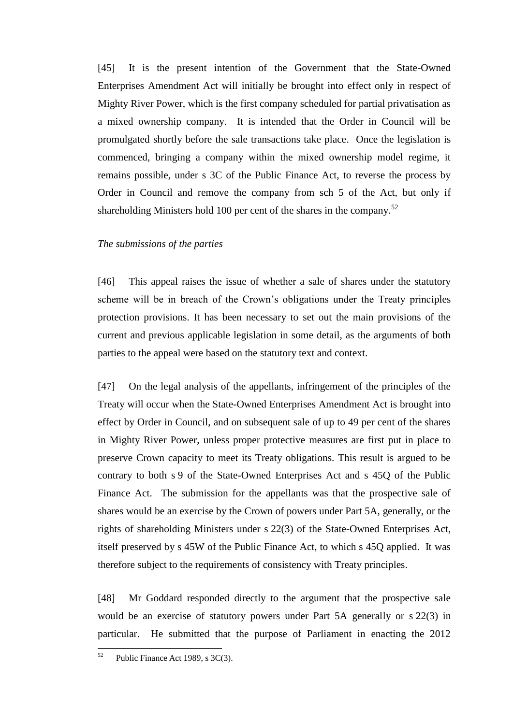[45] It is the present intention of the Government that the State-Owned Enterprises Amendment Act will initially be brought into effect only in respect of Mighty River Power, which is the first company scheduled for partial privatisation as a mixed ownership company. It is intended that the Order in Council will be promulgated shortly before the sale transactions take place. Once the legislation is commenced, bringing a company within the mixed ownership model regime, it remains possible, under s 3C of the Public Finance Act, to reverse the process by Order in Council and remove the company from sch 5 of the Act, but only if shareholding Ministers hold 100 per cent of the shares in the company.<sup>52</sup>

#### *The submissions of the parties*

<span id="page-19-0"></span>[46] This appeal raises the issue of whether a sale of shares under the statutory scheme will be in breach of the Crown's obligations under the Treaty principles protection provisions. It has been necessary to set out the main provisions of the current and previous applicable legislation in some detail, as the arguments of both parties to the appeal were based on the statutory text and context.

[47] On the legal analysis of the appellants, infringement of the principles of the Treaty will occur when the State-Owned Enterprises Amendment Act is brought into effect by Order in Council, and on subsequent sale of up to 49 per cent of the shares in Mighty River Power, unless proper protective measures are first put in place to preserve Crown capacity to meet its Treaty obligations. This result is argued to be contrary to both s 9 of the State-Owned Enterprises Act and s 45Q of the Public Finance Act. The submission for the appellants was that the prospective sale of shares would be an exercise by the Crown of powers under Part 5A, generally, or the rights of shareholding Ministers under s 22(3) of the State-Owned Enterprises Act, itself preserved by s 45W of the Public Finance Act, to which s 45Q applied. It was therefore subject to the requirements of consistency with Treaty principles.

[48] Mr Goddard responded directly to the argument that the prospective sale would be an exercise of statutory powers under Part 5A generally or s 22(3) in particular. He submitted that the purpose of Parliament in enacting the 2012

<sup>52</sup> Public Finance Act 1989, s 3C(3).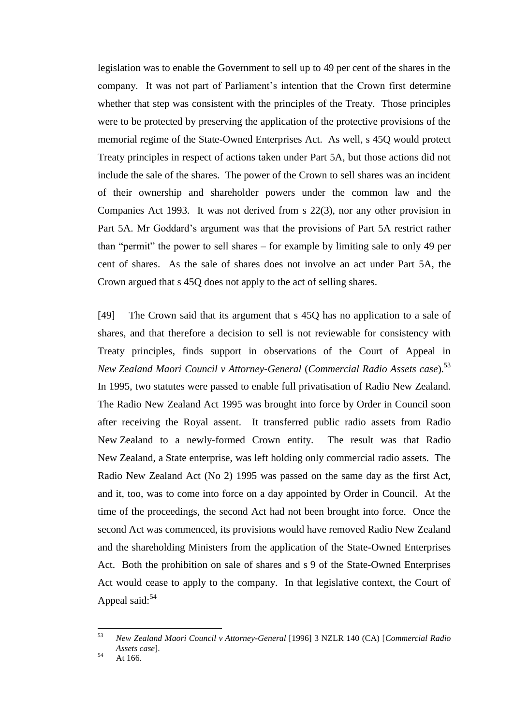legislation was to enable the Government to sell up to 49 per cent of the shares in the company. It was not part of Parliament's intention that the Crown first determine whether that step was consistent with the principles of the Treaty. Those principles were to be protected by preserving the application of the protective provisions of the memorial regime of the State-Owned Enterprises Act. As well, s 45Q would protect Treaty principles in respect of actions taken under Part 5A, but those actions did not include the sale of the shares. The power of the Crown to sell shares was an incident of their ownership and shareholder powers under the common law and the Companies Act 1993. It was not derived from s 22(3), nor any other provision in Part 5A. Mr Goddard's argument was that the provisions of Part 5A restrict rather than "permit" the power to sell shares – for example by limiting sale to only 49 per cent of shares. As the sale of shares does not involve an act under Part 5A, the Crown argued that s 45Q does not apply to the act of selling shares.

<span id="page-20-0"></span>[49] The Crown said that its argument that s 45Q has no application to a sale of shares, and that therefore a decision to sell is not reviewable for consistency with Treaty principles, finds support in observations of the Court of Appeal in *New Zealand Maori Council v Attorney-General* (*Commercial Radio Assets case*).<sup>53</sup> In 1995, two statutes were passed to enable full privatisation of Radio New Zealand. The Radio New Zealand Act 1995 was brought into force by Order in Council soon after receiving the Royal assent. It transferred public radio assets from Radio New Zealand to a newly-formed Crown entity. The result was that Radio New Zealand, a State enterprise, was left holding only commercial radio assets. The Radio New Zealand Act (No 2) 1995 was passed on the same day as the first Act, and it, too, was to come into force on a day appointed by Order in Council. At the time of the proceedings, the second Act had not been brought into force. Once the second Act was commenced, its provisions would have removed Radio New Zealand and the shareholding Ministers from the application of the State-Owned Enterprises Act. Both the prohibition on sale of shares and s 9 of the State-Owned Enterprises Act would cease to apply to the company. In that legislative context, the Court of Appeal said: $54$ 

<sup>53</sup> <sup>53</sup> *New Zealand Maori Council v Attorney-General* [1996] 3 NZLR 140 (CA) [*Commercial Radio Assets case*].

 $54$  At 166.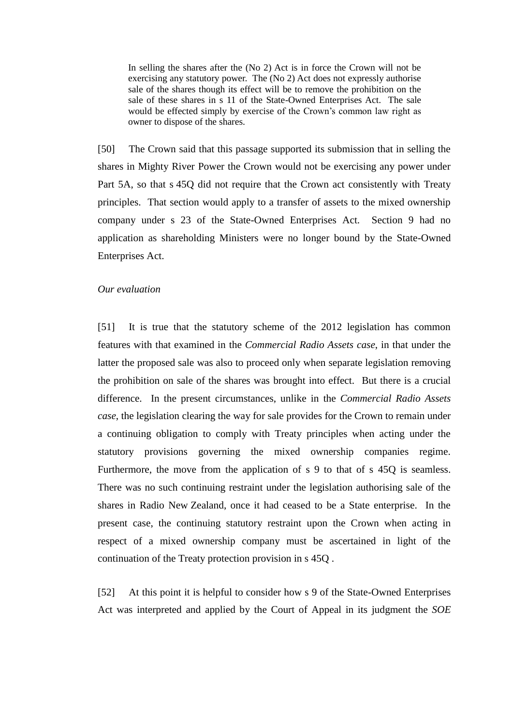In selling the shares after the (No 2) Act is in force the Crown will not be exercising any statutory power. The (No 2) Act does not expressly authorise sale of the shares though its effect will be to remove the prohibition on the sale of these shares in s 11 of the State-Owned Enterprises Act. The sale would be effected simply by exercise of the Crown's common law right as owner to dispose of the shares.

[50] The Crown said that this passage supported its submission that in selling the shares in Mighty River Power the Crown would not be exercising any power under Part 5A, so that s 45Q did not require that the Crown act consistently with Treaty principles. That section would apply to a transfer of assets to the mixed ownership company under s 23 of the State-Owned Enterprises Act. Section 9 had no application as shareholding Ministers were no longer bound by the State-Owned Enterprises Act.

#### *Our evaluation*

<span id="page-21-0"></span>[51] It is true that the statutory scheme of the 2012 legislation has common features with that examined in the *Commercial Radio Assets case*, in that under the latter the proposed sale was also to proceed only when separate legislation removing the prohibition on sale of the shares was brought into effect. But there is a crucial difference. In the present circumstances, unlike in the *Commercial Radio Assets case*, the legislation clearing the way for sale provides for the Crown to remain under a continuing obligation to comply with Treaty principles when acting under the statutory provisions governing the mixed ownership companies regime. Furthermore, the move from the application of s 9 to that of s 45Q is seamless. There was no such continuing restraint under the legislation authorising sale of the shares in Radio New Zealand, once it had ceased to be a State enterprise. In the present case, the continuing statutory restraint upon the Crown when acting in respect of a mixed ownership company must be ascertained in light of the continuation of the Treaty protection provision in s 45Q .

<span id="page-21-1"></span>[52] At this point it is helpful to consider how s 9 of the State-Owned Enterprises Act was interpreted and applied by the Court of Appeal in its judgment the *SOE*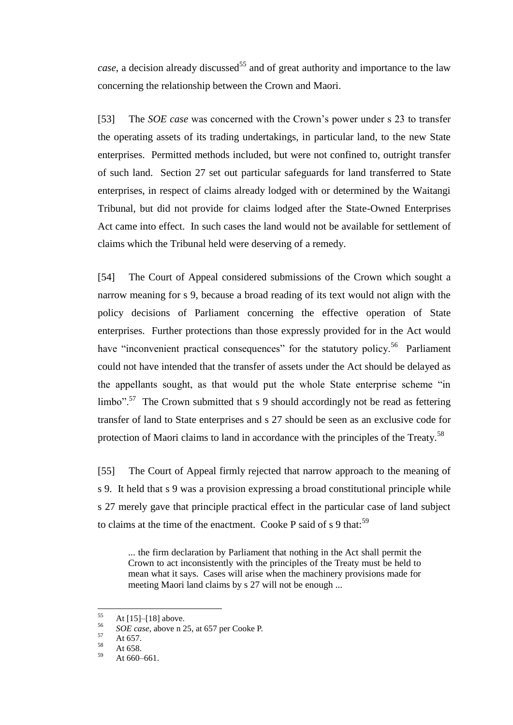*case*, a decision already discussed<sup>55</sup> and of great authority and importance to the law concerning the relationship between the Crown and Maori.

[53] The *SOE case* was concerned with the Crown's power under s 23 to transfer the operating assets of its trading undertakings, in particular land, to the new State enterprises. Permitted methods included, but were not confined to, outright transfer of such land. Section 27 set out particular safeguards for land transferred to State enterprises, in respect of claims already lodged with or determined by the Waitangi Tribunal, but did not provide for claims lodged after the State-Owned Enterprises Act came into effect. In such cases the land would not be available for settlement of claims which the Tribunal held were deserving of a remedy.

[54] The Court of Appeal considered submissions of the Crown which sought a narrow meaning for s 9, because a broad reading of its text would not align with the policy decisions of Parliament concerning the effective operation of State enterprises. Further protections than those expressly provided for in the Act would have "inconvenient practical consequences" for the statutory policy.<sup>56</sup> Parliament could not have intended that the transfer of assets under the Act should be delayed as the appellants sought, as that would put the whole State enterprise scheme "in limbo".<sup>57</sup> The Crown submitted that s 9 should accordingly not be read as fettering transfer of land to State enterprises and s 27 should be seen as an exclusive code for protection of Maori claims to land in accordance with the principles of the Treaty.<sup>58</sup>

[55] The Court of Appeal firmly rejected that narrow approach to the meaning of s 9. It held that s 9 was a provision expressing a broad constitutional principle while s 27 merely gave that principle practical effect in the particular case of land subject to claims at the time of the enactment. Cooke P said of  $s$  9 that:<sup>59</sup>

... the firm declaration by Parliament that nothing in the Act shall permit the Crown to act inconsistently with the principles of the Treaty must be held to mean what it says. Cases will arise when the machinery provisions made for meeting Maori land claims by s 27 will not be enough ...

<sup>55</sup>  $^{55}$  At [\[15\]–](#page-8-0)[\[18\]](#page-9-0) above.

 $^{56}$  *SOE case*, above n [25,](#page-8-1) at 657 per Cooke P.

 $58$  At 657.

 $58$  At 658.

At 660–661.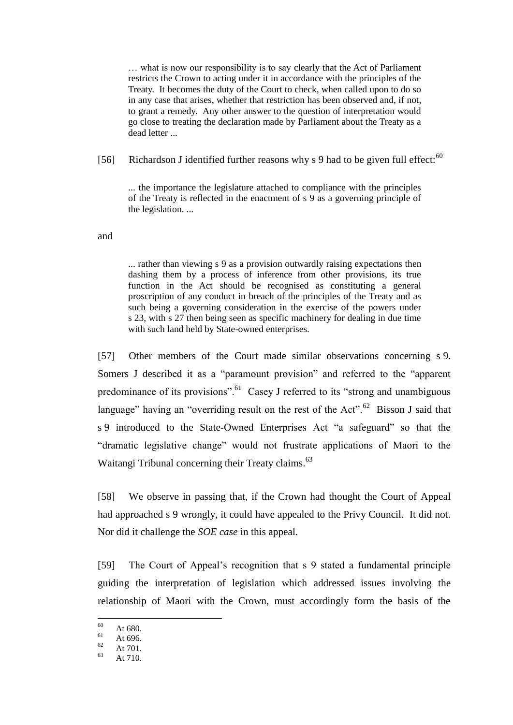… what is now our responsibility is to say clearly that the Act of Parliament restricts the Crown to acting under it in accordance with the principles of the Treaty. It becomes the duty of the Court to check, when called upon to do so in any case that arises, whether that restriction has been observed and, if not, to grant a remedy. Any other answer to the question of interpretation would go close to treating the declaration made by Parliament about the Treaty as a dead letter ...

[56] Richardson J identified further reasons why s 9 had to be given full effect: $60$ 

... the importance the legislature attached to compliance with the principles of the Treaty is reflected in the enactment of s 9 as a governing principle of the legislation. ...

and

... rather than viewing s 9 as a provision outwardly raising expectations then dashing them by a process of inference from other provisions, its true function in the Act should be recognised as constituting a general proscription of any conduct in breach of the principles of the Treaty and as such being a governing consideration in the exercise of the powers under s 23, with s 27 then being seen as specific machinery for dealing in due time with such land held by State-owned enterprises.

[57] Other members of the Court made similar observations concerning s 9. Somers J described it as a "paramount provision" and referred to the "apparent predominance of its provisions".<sup>61</sup> Casey J referred to its "strong and unambiguous language" having an "overriding result on the rest of the Act".<sup>62</sup> Bisson J said that s 9 introduced to the State-Owned Enterprises Act "a safeguard" so that the "dramatic legislative change" would not frustrate applications of Maori to the Waitangi Tribunal concerning their Treaty claims.<sup>63</sup>

[58] We observe in passing that, if the Crown had thought the Court of Appeal had approached s 9 wrongly, it could have appealed to the Privy Council. It did not. Nor did it challenge the *SOE case* in this appeal.

<span id="page-23-0"></span>[59] The Court of Appeal's recognition that s 9 stated a fundamental principle guiding the interpretation of legislation which addressed issues involving the relationship of Maori with the Crown, must accordingly form the basis of the

<sup>60</sup>  $\frac{60}{61}$  At 680.

 $\frac{61}{62}$  At 696.

 $\frac{62}{63}$  At 701.

At  $710.$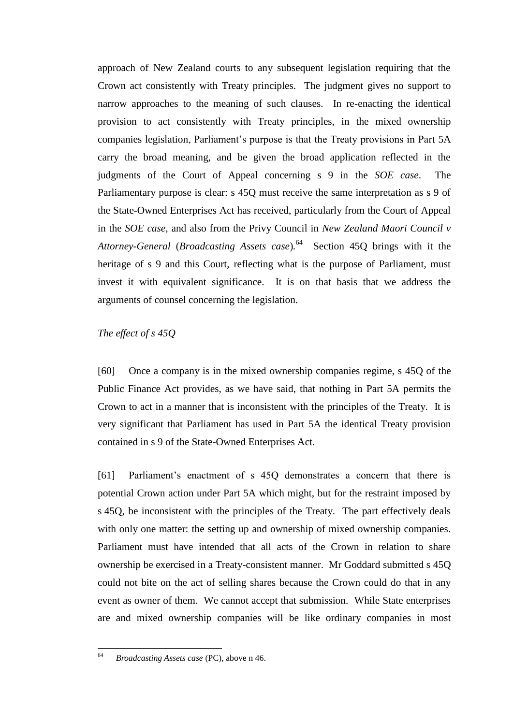approach of New Zealand courts to any subsequent legislation requiring that the Crown act consistently with Treaty principles. The judgment gives no support to narrow approaches to the meaning of such clauses. In re-enacting the identical provision to act consistently with Treaty principles, in the mixed ownership companies legislation, Parliament's purpose is that the Treaty provisions in Part 5A carry the broad meaning, and be given the broad application reflected in the judgments of the Court of Appeal concerning s 9 in the *SOE case*. The Parliamentary purpose is clear: s 45Q must receive the same interpretation as s 9 of the State-Owned Enterprises Act has received, particularly from the Court of Appeal in the *SOE case*, and also from the Privy Council in *New Zealand Maori Council v*  Attorney-General (*Broadcasting Assets case*).<sup>64</sup> Section 45Q brings with it the heritage of s 9 and this Court, reflecting what is the purpose of Parliament, must invest it with equivalent significance. It is on that basis that we address the arguments of counsel concerning the legislation.

### *The effect of s 45Q*

<span id="page-24-0"></span>[60] Once a company is in the mixed ownership companies regime, s 45Q of the Public Finance Act provides, as we have said, that nothing in Part 5A permits the Crown to act in a manner that is inconsistent with the principles of the Treaty. It is very significant that Parliament has used in Part 5A the identical Treaty provision contained in s 9 of the State-Owned Enterprises Act.

[61] Parliament's enactment of s 45Q demonstrates a concern that there is potential Crown action under Part 5A which might, but for the restraint imposed by s 45Q, be inconsistent with the principles of the Treaty. The part effectively deals with only one matter: the setting up and ownership of mixed ownership companies. Parliament must have intended that all acts of the Crown in relation to share ownership be exercised in a Treaty-consistent manner. Mr Goddard submitted s 45Q could not bite on the act of selling shares because the Crown could do that in any event as owner of them. We cannot accept that submission. While State enterprises are and mixed ownership companies will be like ordinary companies in most

<sup>64</sup> <sup>64</sup> *Broadcasting Assets case* (PC), above n [46.](#page-16-0)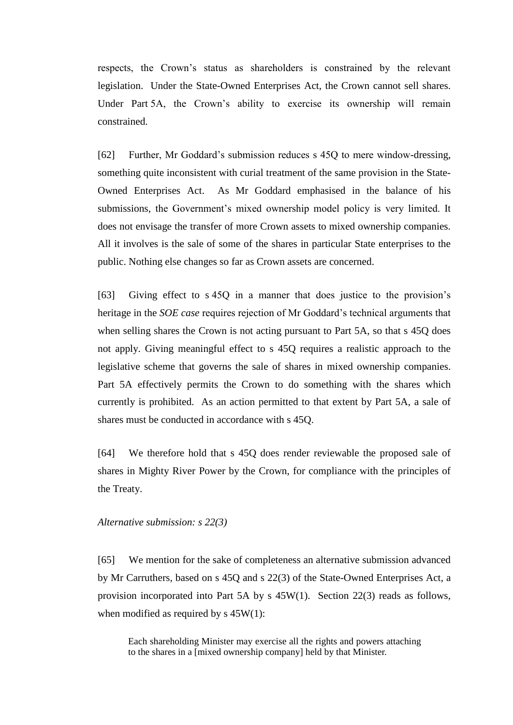respects, the Crown's status as shareholders is constrained by the relevant legislation. Under the State-Owned Enterprises Act, the Crown cannot sell shares. Under Part 5A, the Crown's ability to exercise its ownership will remain constrained.

[62] Further, Mr Goddard's submission reduces s 45Q to mere window-dressing, something quite inconsistent with curial treatment of the same provision in the State-Owned Enterprises Act. As Mr Goddard emphasised in the balance of his submissions, the Government's mixed ownership model policy is very limited. It does not envisage the transfer of more Crown assets to mixed ownership companies. All it involves is the sale of some of the shares in particular State enterprises to the public. Nothing else changes so far as Crown assets are concerned.

<span id="page-25-1"></span>[63] Giving effect to s 45Q in a manner that does justice to the provision's heritage in the *SOE case* requires rejection of Mr Goddard's technical arguments that when selling shares the Crown is not acting pursuant to Part 5A, so that s 45Q does not apply. Giving meaningful effect to s 45Q requires a realistic approach to the legislative scheme that governs the sale of shares in mixed ownership companies. Part 5A effectively permits the Crown to do something with the shares which currently is prohibited. As an action permitted to that extent by Part 5A, a sale of shares must be conducted in accordance with s 45Q.

<span id="page-25-2"></span>[64] We therefore hold that s 45Q does render reviewable the proposed sale of shares in Mighty River Power by the Crown, for compliance with the principles of the Treaty.

#### *Alternative submission: s 22(3)*

<span id="page-25-0"></span>[65] We mention for the sake of completeness an alternative submission advanced by Mr Carruthers, based on s 45Q and s 22(3) of the State-Owned Enterprises Act, a provision incorporated into Part 5A by s 45W(1). Section 22(3) reads as follows, when modified as required by  $s$  45W(1):

Each shareholding Minister may exercise all the rights and powers attaching to the shares in a [mixed ownership company] held by that Minister.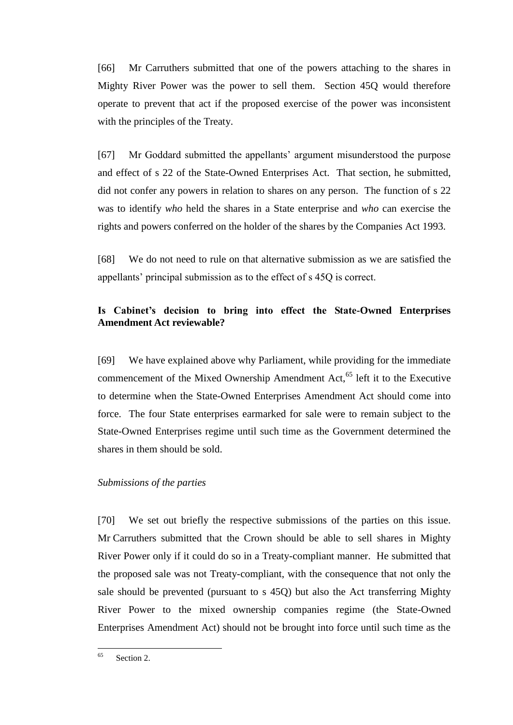[66] Mr Carruthers submitted that one of the powers attaching to the shares in Mighty River Power was the power to sell them. Section 45Q would therefore operate to prevent that act if the proposed exercise of the power was inconsistent with the principles of the Treaty.

[67] Mr Goddard submitted the appellants' argument misunderstood the purpose and effect of s 22 of the State-Owned Enterprises Act. That section, he submitted, did not confer any powers in relation to shares on any person. The function of s 22 was to identify *who* held the shares in a State enterprise and *who* can exercise the rights and powers conferred on the holder of the shares by the Companies Act 1993.

<span id="page-26-2"></span>[68] We do not need to rule on that alternative submission as we are satisfied the appellants' principal submission as to the effect of s 45Q is correct.

# **Is Cabinet's decision to bring into effect the State-Owned Enterprises Amendment Act reviewable?**

<span id="page-26-0"></span>[69] We have explained above why Parliament, while providing for the immediate commencement of the Mixed Ownership Amendment Act,<sup>65</sup> left it to the Executive to determine when the State-Owned Enterprises Amendment Act should come into force. The four State enterprises earmarked for sale were to remain subject to the State-Owned Enterprises regime until such time as the Government determined the shares in them should be sold.

### *Submissions of the parties*

<span id="page-26-1"></span>[70] We set out briefly the respective submissions of the parties on this issue. Mr Carruthers submitted that the Crown should be able to sell shares in Mighty River Power only if it could do so in a Treaty-compliant manner. He submitted that the proposed sale was not Treaty-compliant, with the consequence that not only the sale should be prevented (pursuant to s 45Q) but also the Act transferring Mighty River Power to the mixed ownership companies regime (the State-Owned Enterprises Amendment Act) should not be brought into force until such time as the

<sup>65</sup> Section 2.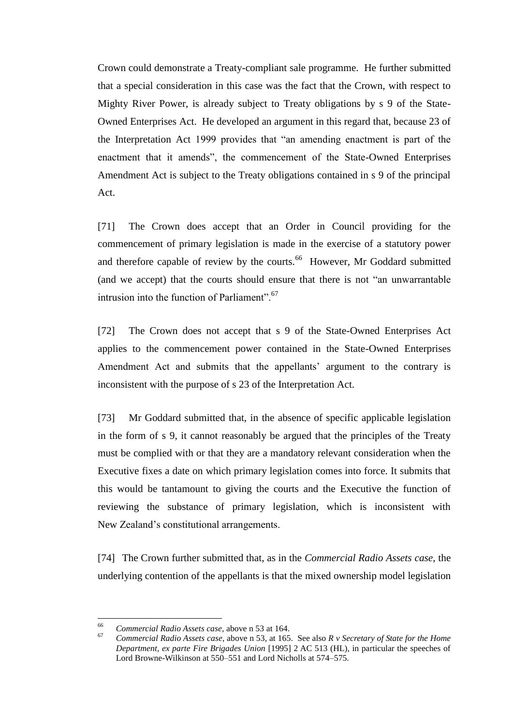Crown could demonstrate a Treaty-compliant sale programme. He further submitted that a special consideration in this case was the fact that the Crown, with respect to Mighty River Power, is already subject to Treaty obligations by s 9 of the State-Owned Enterprises Act. He developed an argument in this regard that, because 23 of the Interpretation Act 1999 provides that "an amending enactment is part of the enactment that it amends", the commencement of the State-Owned Enterprises Amendment Act is subject to the Treaty obligations contained in s 9 of the principal Act.

[71] The Crown does accept that an Order in Council providing for the commencement of primary legislation is made in the exercise of a statutory power and therefore capable of review by the courts.<sup>66</sup> However, Mr Goddard submitted (and we accept) that the courts should ensure that there is not "an unwarrantable intrusion into the function of Parliament".  $67$ 

[72] The Crown does not accept that s 9 of the State-Owned Enterprises Act applies to the commencement power contained in the State-Owned Enterprises Amendment Act and submits that the appellants' argument to the contrary is inconsistent with the purpose of s 23 of the Interpretation Act.

[73] Mr Goddard submitted that, in the absence of specific applicable legislation in the form of s 9, it cannot reasonably be argued that the principles of the Treaty must be complied with or that they are a mandatory relevant consideration when the Executive fixes a date on which primary legislation comes into force. It submits that this would be tantamount to giving the courts and the Executive the function of reviewing the substance of primary legislation, which is inconsistent with New Zealand's constitutional arrangements.

[74] The Crown further submitted that, as in the *Commercial Radio Assets case*, the underlying contention of the appellants is that the mixed ownership model legislation

<sup>66</sup> <sup>66</sup> *Commercial Radio Assets case*, above [n 53](#page-20-0) at 164.

<sup>67</sup> *Commercial Radio Assets case*, above n [53,](#page-20-0) at 165. See also *R v Secretary of State for the Home Department, ex parte Fire Brigades Union* [1995] 2 AC 513 (HL), in particular the speeches of Lord Browne-Wilkinson at 550–551 and Lord Nicholls at 574–575.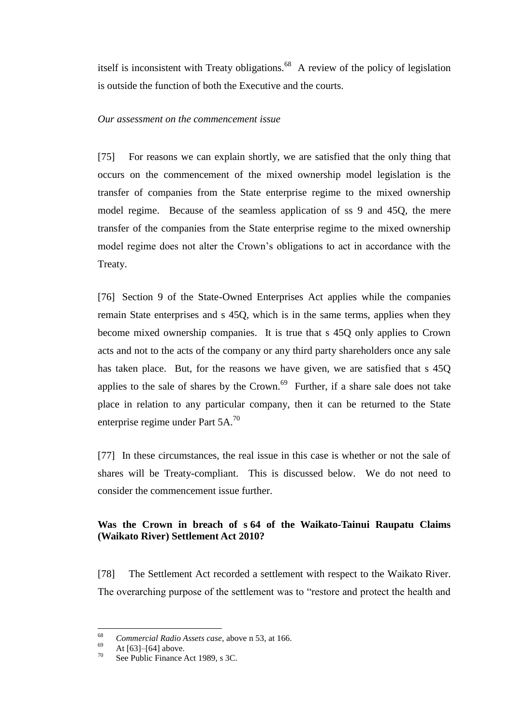itself is inconsistent with Treaty obligations.  $68$  A review of the policy of legislation is outside the function of both the Executive and the courts.

### *Our assessment on the commencement issue*

<span id="page-28-0"></span>[75] For reasons we can explain shortly, we are satisfied that the only thing that occurs on the commencement of the mixed ownership model legislation is the transfer of companies from the State enterprise regime to the mixed ownership model regime. Because of the seamless application of ss 9 and 45Q, the mere transfer of the companies from the State enterprise regime to the mixed ownership model regime does not alter the Crown's obligations to act in accordance with the Treaty.

[76] Section 9 of the State-Owned Enterprises Act applies while the companies remain State enterprises and s 45Q, which is in the same terms, applies when they become mixed ownership companies. It is true that s 45Q only applies to Crown acts and not to the acts of the company or any third party shareholders once any sale has taken place. But, for the reasons we have given, we are satisfied that s 45Q applies to the sale of shares by the Crown.<sup>69</sup> Further, if a share sale does not take place in relation to any particular company, then it can be returned to the State enterprise regime under Part 5A.<sup>70</sup>

[77] In these circumstances, the real issue in this case is whether or not the sale of shares will be Treaty-compliant. This is discussed below. We do not need to consider the commencement issue further.

# **Was the Crown in breach of s 64 of the Waikato-Tainui Raupatu Claims (Waikato River) Settlement Act 2010?**

<span id="page-28-1"></span>[78] The Settlement Act recorded a settlement with respect to the Waikato River. The overarching purpose of the settlement was to "restore and protect the health and

<sup>68</sup> <sup>68</sup> *Commercial Radio Assets case*, above [n 53,](#page-20-0) at 166.

 $\frac{69}{70}$  At [\[63\]–](#page-25-1)[\[64\]](#page-25-2) above.

See Public Finance Act 1989, s 3C.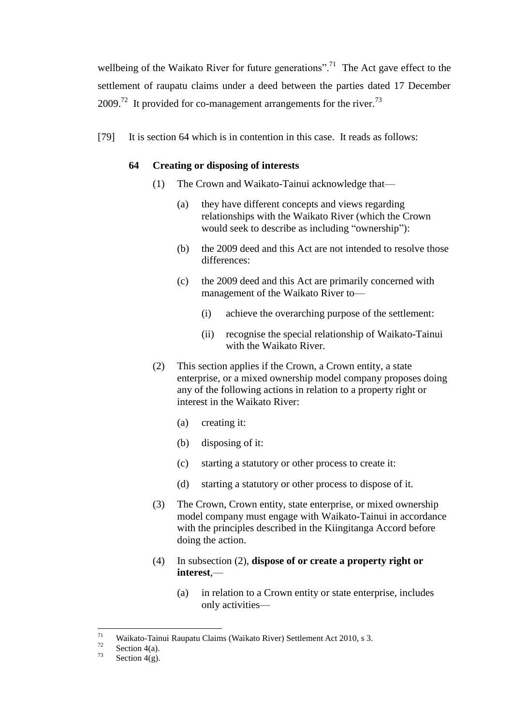wellbeing of the Waikato River for future generations".<sup>71</sup> The Act gave effect to the settlement of raupatu claims under a deed between the parties dated 17 December 2009.<sup>72</sup> It provided for co-management arrangements for the river.<sup>73</sup>

[79] It is section 64 which is in contention in this case. It reads as follows:

### **64 Creating or disposing of interests**

- (1) The Crown and Waikato-Tainui acknowledge that—
	- (a) they have different concepts and views regarding relationships with the Waikato River (which the Crown would seek to describe as including "ownership"):
	- (b) the 2009 deed and this Act are not intended to resolve those differences:
	- (c) the 2009 deed and this Act are primarily concerned with management of the Waikato River to—
		- (i) achieve the overarching purpose of the settlement:
		- (ii) recognise the special relationship of Waikato-Tainui with the Waikato River.
- (2) This section applies if the Crown, a Crown entity, a state enterprise, or a mixed ownership model company proposes doing any of the following actions in relation to a property right or interest in the Waikato River:
	- (a) creating it:
	- (b) disposing of it:
	- (c) starting a statutory or other process to create it:
	- (d) starting a statutory or other process to dispose of it.
- (3) The Crown, Crown entity, state enterprise, or mixed ownership model company must engage with Waikato-Tainui in accordance with the principles described in the Kiingitanga Accord before doing the action.
- (4) In subsection (2), **dispose of or create a property right or interest**,—
	- (a) in relation to a Crown entity or state enterprise, includes only activities—

 $71\,$ <sup>71</sup> Waikato-Tainui Raupatu Claims (Waikato River) Settlement Act 2010, s 3.<br>Section  $4\Omega$ 

 $\frac{72}{73}$  Section 4(a).

Section  $4(g)$ .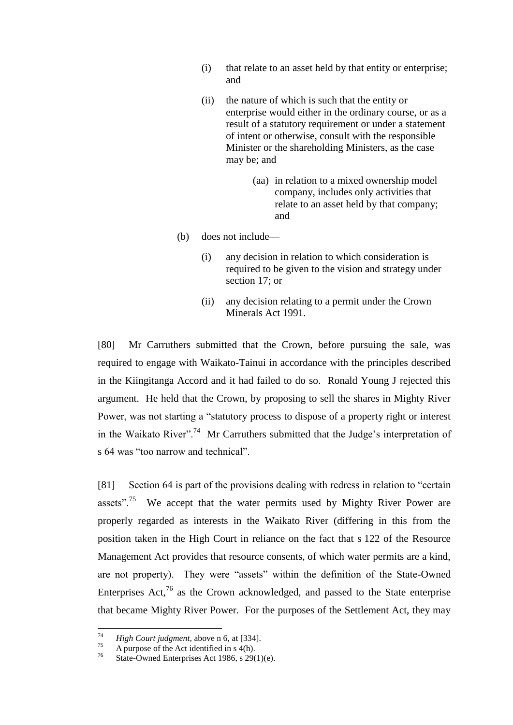- (i) that relate to an asset held by that entity or enterprise; and
- (ii) the nature of which is such that the entity or enterprise would either in the ordinary course, or as a result of a statutory requirement or under a statement of intent or otherwise, consult with the responsible Minister or the shareholding Ministers, as the case may be; and
	- (aa) in relation to a mixed ownership model company, includes only activities that relate to an asset held by that company; and
- (b) does not include—
	- (i) any decision in relation to which consideration is required to be given to the vision and strategy under [section 17;](http://www.legislation.govt.nz/act/public/2010/0024/latest/link.aspx?id=DLM1630110) or
	- (ii) any decision relating to a permit under the [Crown](http://www.legislation.govt.nz/act/public/2010/0024/latest/link.aspx?id=DLM242535)  [Minerals Act 1991.](http://www.legislation.govt.nz/act/public/2010/0024/latest/link.aspx?id=DLM242535)

[80] Mr Carruthers submitted that the Crown, before pursuing the sale, was required to engage with Waikato-Tainui in accordance with the principles described in the Kiingitanga Accord and it had failed to do so. Ronald Young J rejected this argument. He held that the Crown, by proposing to sell the shares in Mighty River Power, was not starting a "statutory process to dispose of a property right or interest in the Waikato River".<sup>74</sup> Mr Carruthers submitted that the Judge's interpretation of s 64 was "too narrow and technical".

[81] Section 64 is part of the provisions dealing with redress in relation to "certain assets".<sup>75</sup> We accept that the water permits used by Mighty River Power are properly regarded as interests in the Waikato River (differing in this from the position taken in the High Court in reliance on the fact that s 122 of the Resource Management Act provides that resource consents, of which water permits are a kind, are not property). They were "assets" within the definition of the State-Owned Enterprises Act, $76$  as the Crown acknowledged, and passed to the State enterprise that became Mighty River Power. For the purposes of the Settlement Act, they may

<sup>74</sup> <sup>74</sup> *High Court judgment*, above n [6,](#page-3-0) at [334].

<sup>&</sup>lt;sup>75</sup> A purpose of the Act identified in s 4(h).<br><sup>76</sup> State Oyuned Enterprises A at 1086 a 200

State-Owned Enterprises Act 1986, s 29(1)(e).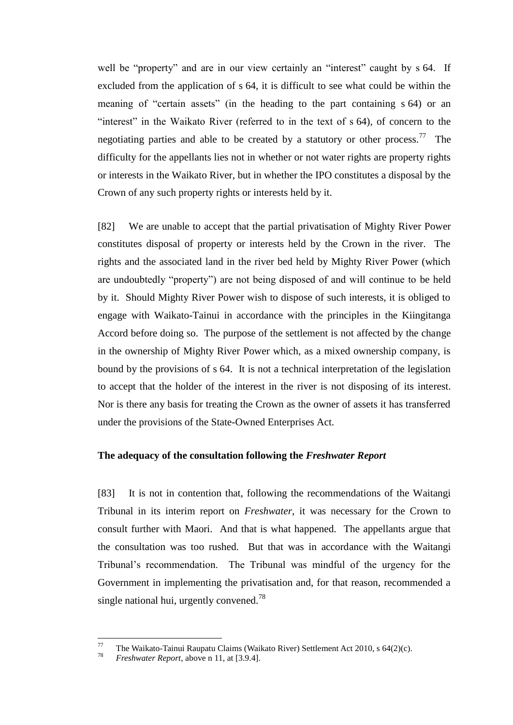well be "property" and are in our view certainly an "interest" caught by s 64. If excluded from the application of s 64, it is difficult to see what could be within the meaning of "certain assets" (in the heading to the part containing s 64) or an "interest" in the Waikato River (referred to in the text of s 64), of concern to the negotiating parties and able to be created by a statutory or other process.<sup>77</sup> The difficulty for the appellants lies not in whether or not water rights are property rights or interests in the Waikato River, but in whether the IPO constitutes a disposal by the Crown of any such property rights or interests held by it.

<span id="page-31-1"></span>[82] We are unable to accept that the partial privatisation of Mighty River Power constitutes disposal of property or interests held by the Crown in the river. The rights and the associated land in the river bed held by Mighty River Power (which are undoubtedly "property") are not being disposed of and will continue to be held by it. Should Mighty River Power wish to dispose of such interests, it is obliged to engage with Waikato-Tainui in accordance with the principles in the Kiingitanga Accord before doing so. The purpose of the settlement is not affected by the change in the ownership of Mighty River Power which, as a mixed ownership company, is bound by the provisions of s 64. It is not a technical interpretation of the legislation to accept that the holder of the interest in the river is not disposing of its interest. Nor is there any basis for treating the Crown as the owner of assets it has transferred under the provisions of the State-Owned Enterprises Act.

### **The adequacy of the consultation following the** *Freshwater Report*

<span id="page-31-0"></span>[83] It is not in contention that, following the recommendations of the Waitangi Tribunal in its interim report on *Freshwater*, it was necessary for the Crown to consult further with Maori. And that is what happened. The appellants argue that the consultation was too rushed. But that was in accordance with the Waitangi Tribunal's recommendation. The Tribunal was mindful of the urgency for the Government in implementing the privatisation and, for that reason, recommended a single national hui, urgently convened.<sup>78</sup>

<sup>77</sup> <sup>77</sup> The Waikato-Tainui Raupatu Claims (Waikato River) Settlement Act 2010, s 64(2)(c).

*Freshwater Report*, above n [11,](#page-5-2) at [3.9.4].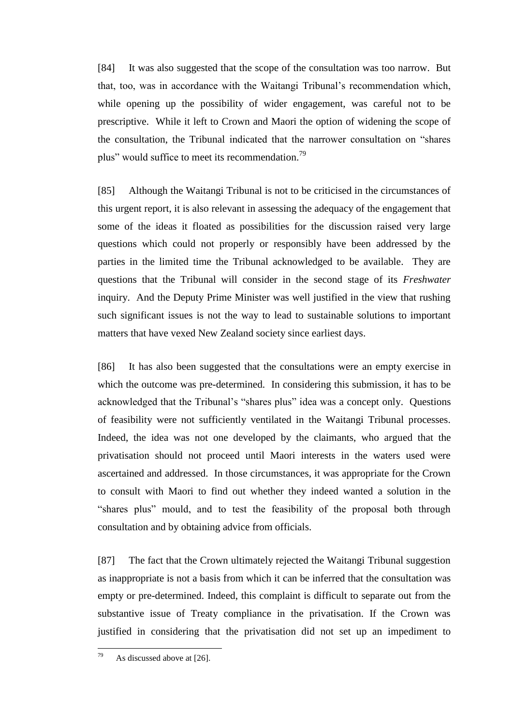[84] It was also suggested that the scope of the consultation was too narrow. But that, too, was in accordance with the Waitangi Tribunal's recommendation which, while opening up the possibility of wider engagement, was careful not to be prescriptive. While it left to Crown and Maori the option of widening the scope of the consultation, the Tribunal indicated that the narrower consultation on "shares plus" would suffice to meet its recommendation.<sup>79</sup>

[85] Although the Waitangi Tribunal is not to be criticised in the circumstances of this urgent report, it is also relevant in assessing the adequacy of the engagement that some of the ideas it floated as possibilities for the discussion raised very large questions which could not properly or responsibly have been addressed by the parties in the limited time the Tribunal acknowledged to be available. They are questions that the Tribunal will consider in the second stage of its *Freshwater*  inquiry. And the Deputy Prime Minister was well justified in the view that rushing such significant issues is not the way to lead to sustainable solutions to important matters that have vexed New Zealand society since earliest days.

[86] It has also been suggested that the consultations were an empty exercise in which the outcome was pre-determined. In considering this submission, it has to be acknowledged that the Tribunal's "shares plus" idea was a concept only. Questions of feasibility were not sufficiently ventilated in the Waitangi Tribunal processes. Indeed, the idea was not one developed by the claimants, who argued that the privatisation should not proceed until Maori interests in the waters used were ascertained and addressed. In those circumstances, it was appropriate for the Crown to consult with Maori to find out whether they indeed wanted a solution in the "shares plus" mould, and to test the feasibility of the proposal both through consultation and by obtaining advice from officials.

<span id="page-32-0"></span>[87] The fact that the Crown ultimately rejected the Waitangi Tribunal suggestion as inappropriate is not a basis from which it can be inferred that the consultation was empty or pre-determined. Indeed, this complaint is difficult to separate out from the substantive issue of Treaty compliance in the privatisation. If the Crown was justified in considering that the privatisation did not set up an impediment to

<sup>79</sup> As discussed above at [\[26\].](#page-13-0)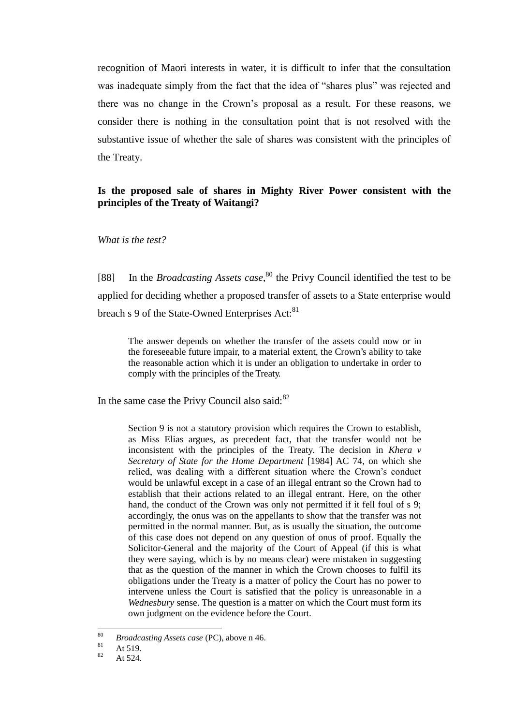recognition of Maori interests in water, it is difficult to infer that the consultation was inadequate simply from the fact that the idea of "shares plus" was rejected and there was no change in the Crown's proposal as a result. For these reasons, we consider there is nothing in the consultation point that is not resolved with the substantive issue of whether the sale of shares was consistent with the principles of the Treaty.

### **Is the proposed sale of shares in Mighty River Power consistent with the principles of the Treaty of Waitangi?**

*What is the test?*

<span id="page-33-0"></span>[88] In the *Broadcasting Assets case*,<sup>80</sup> the Privy Council identified the test to be applied for deciding whether a proposed transfer of assets to a State enterprise would breach s 9 of the State-Owned Enterprises Act:<sup>81</sup>

The answer depends on whether the transfer of the assets could now or in the foreseeable future impair, to a material extent, the Crown's ability to take the reasonable action which it is under an obligation to undertake in order to comply with the principles of the Treaty.

In the same case the Privy Council also said: $82$ 

Section 9 is not a statutory provision which requires the Crown to establish, as Miss Elias argues, as precedent fact, that the transfer would not be inconsistent with the principles of the Treaty. The decision in *Khera v Secretary of State for the Home Department* [1984] AC 74, on which she relied, was dealing with a different situation where the Crown's conduct would be unlawful except in a case of an illegal entrant so the Crown had to establish that their actions related to an illegal entrant. Here, on the other hand, the conduct of the Crown was only not permitted if it fell foul of s 9; accordingly, the onus was on the appellants to show that the transfer was not permitted in the normal manner. But, as is usually the situation, the outcome of this case does not depend on any question of onus of proof. Equally the Solicitor-General and the majority of the Court of Appeal (if this is what they were saying, which is by no means clear) were mistaken in suggesting that as the question of the manner in which the Crown chooses to fulfil its obligations under the Treaty is a matter of policy the Court has no power to intervene unless the Court is satisfied that the policy is unreasonable in a *Wednesbury* sense. The question is a matter on which the Court must form its own judgment on the evidence before the Court.

 $80$ <sup>80</sup> *Broadcasting Assets case* (PC), above n [46.](#page-16-0)<br><sup>81</sup>  $\Lambda$  + 510

 $\frac{81}{82}$  At 519.

At 524.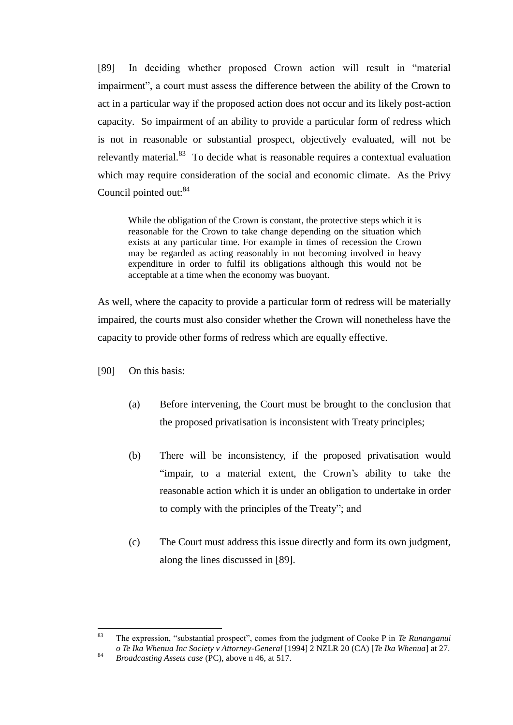<span id="page-34-0"></span>[89] In deciding whether proposed Crown action will result in "material impairment", a court must assess the difference between the ability of the Crown to act in a particular way if the proposed action does not occur and its likely post-action capacity. So impairment of an ability to provide a particular form of redress which is not in reasonable or substantial prospect, objectively evaluated, will not be relevantly material.<sup>83</sup> To decide what is reasonable requires a contextual evaluation which may require consideration of the social and economic climate. As the Privy Council pointed out:<sup>84</sup>

<span id="page-34-1"></span>While the obligation of the Crown is constant, the protective steps which it is reasonable for the Crown to take change depending on the situation which exists at any particular time. For example in times of recession the Crown may be regarded as acting reasonably in not becoming involved in heavy expenditure in order to fulfil its obligations although this would not be acceptable at a time when the economy was buoyant.

As well, where the capacity to provide a particular form of redress will be materially impaired, the courts must also consider whether the Crown will nonetheless have the capacity to provide other forms of redress which are equally effective.

[90] On this basis:

- (a) Before intervening, the Court must be brought to the conclusion that the proposed privatisation is inconsistent with Treaty principles;
- (b) There will be inconsistency, if the proposed privatisation would "impair, to a material extent, the Crown's ability to take the reasonable action which it is under an obligation to undertake in order to comply with the principles of the Treaty"; and
- (c) The Court must address this issue directly and form its own judgment, along the lines discussed in [\[89\].](#page-34-0)

<sup>83</sup> <sup>83</sup> The expression, "substantial prospect", comes from the judgment of Cooke P in *Te Runanganui o Te Ika Whenua Inc Society v Attorney-General* [1994] 2 NZLR 20 (CA) [*Te Ika Whenua*] at 27. <sup>84</sup> *Broadcasting Assets case* (PC), above n [46,](#page-16-0) at 517.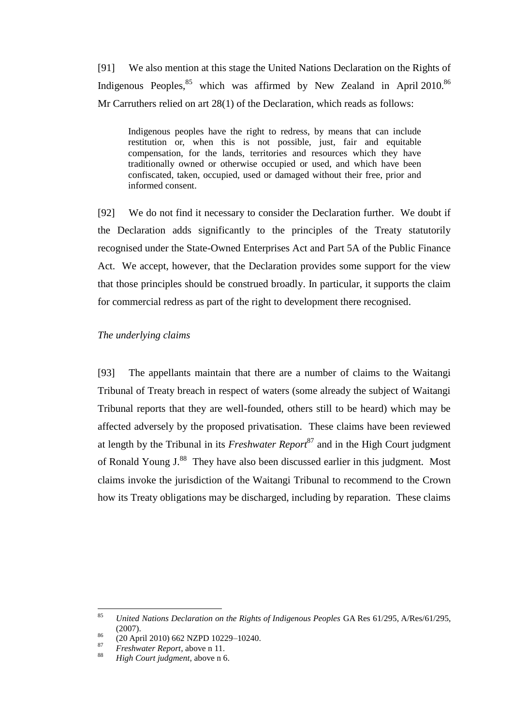[91] We also mention at this stage the United Nations Declaration on the Rights of Indigenous Peoples, $85$  which was affirmed by New Zealand in April 2010.<sup>86</sup> Mr Carruthers relied on art 28(1) of the Declaration, which reads as follows:

Indigenous peoples have the right to redress, by means that can include restitution or, when this is not possible, just, fair and equitable compensation, for the lands, territories and resources which they have traditionally owned or otherwise occupied or used, and which have been confiscated, taken, occupied, used or damaged without their free, prior and informed consent.

[92] We do not find it necessary to consider the Declaration further. We doubt if the Declaration adds significantly to the principles of the Treaty statutorily recognised under the State-Owned Enterprises Act and Part 5A of the Public Finance Act. We accept, however, that the Declaration provides some support for the view that those principles should be construed broadly. In particular, it supports the claim for commercial redress as part of the right to development there recognised.

#### *The underlying claims*

<span id="page-35-0"></span>[93] The appellants maintain that there are a number of claims to the Waitangi Tribunal of Treaty breach in respect of waters (some already the subject of Waitangi Tribunal reports that they are well-founded, others still to be heard) which may be affected adversely by the proposed privatisation. These claims have been reviewed at length by the Tribunal in its *Freshwater Report*<sup>87</sup> and in the High Court judgment of Ronald Young J.<sup>88</sup> They have also been discussed earlier in this judgment. Most claims invoke the jurisdiction of the Waitangi Tribunal to recommend to the Crown how its Treaty obligations may be discharged, including by reparation. These claims

<sup>85</sup> <sup>85</sup> *United Nations Declaration on the Rights of Indigenous Peoples* GA Res 61/295, A/Res/61/295, (2007).

 $^{86}$  (20 April 2010) 662 NZPD 10229-10240.

<sup>87</sup> *Freshwater Report*, above n [11.](#page-5-2)

<sup>88</sup> *High Court judgment*, above n [6.](#page-3-0)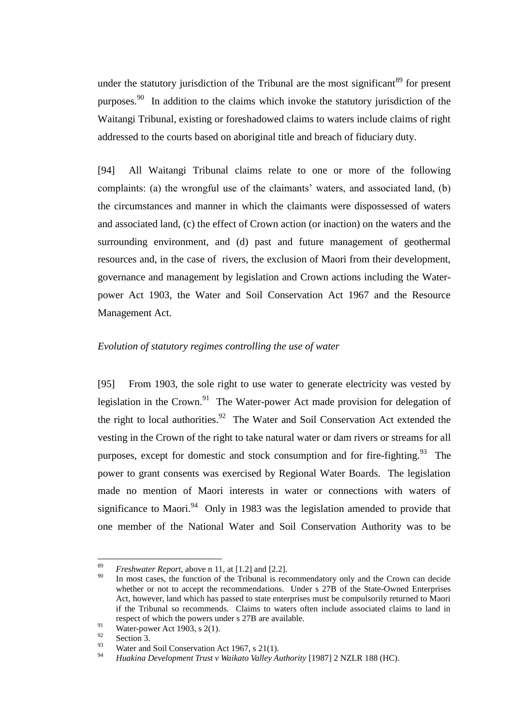under the statutory jurisdiction of the Tribunal are the most significant<sup>89</sup> for present purposes.<sup>90</sup> In addition to the claims which invoke the statutory jurisdiction of the Waitangi Tribunal, existing or foreshadowed claims to waters include claims of right addressed to the courts based on aboriginal title and breach of fiduciary duty.

[94] All Waitangi Tribunal claims relate to one or more of the following complaints: (a) the wrongful use of the claimants' waters, and associated land, (b) the circumstances and manner in which the claimants were dispossessed of waters and associated land, (c) the effect of Crown action (or inaction) on the waters and the surrounding environment, and (d) past and future management of geothermal resources and, in the case of rivers, the exclusion of Maori from their development, governance and management by legislation and Crown actions including the Waterpower Act 1903, the Water and Soil Conservation Act 1967 and the Resource Management Act.

# *Evolution of statutory regimes controlling the use of water*

<span id="page-36-0"></span>[95] From 1903, the sole right to use water to generate electricity was vested by legislation in the Crown.<sup>91</sup> The Water-power Act made provision for delegation of the right to local authorities.<sup>92</sup> The Water and Soil Conservation Act extended the vesting in the Crown of the right to take natural water or dam rivers or streams for all purposes, except for domestic and stock consumption and for fire-fighting.<sup>93</sup> The power to grant consents was exercised by Regional Water Boards. The legislation made no mention of Maori interests in water or connections with waters of significance to Maori. $94$  Only in 1983 was the legislation amended to provide that one member of the National Water and Soil Conservation Authority was to be

<sup>89</sup> <sup>89</sup> *Freshwater Report*, above n [11,](#page-5-2) at  $[1.2]$  and  $[2.2]$ .

In most cases, the function of the Tribunal is recommendatory only and the Crown can decide whether or not to accept the recommendations. Under s 27B of the State-Owned Enterprises Act, however, land which has passed to state enterprises must be compulsorily returned to Maori if the Tribunal so recommends. Claims to waters often include associated claims to land in respect of which the powers under s 27B are available.

<sup>91</sup> Water-power Act 1903, s 2(1).

 $\frac{92}{93}$  Section 3.

Water and Soil Conservation Act 1967, s 21(1).

<sup>94</sup> *Huakina Development Trust v Waikato Valley Authority* [1987] 2 NZLR 188 (HC).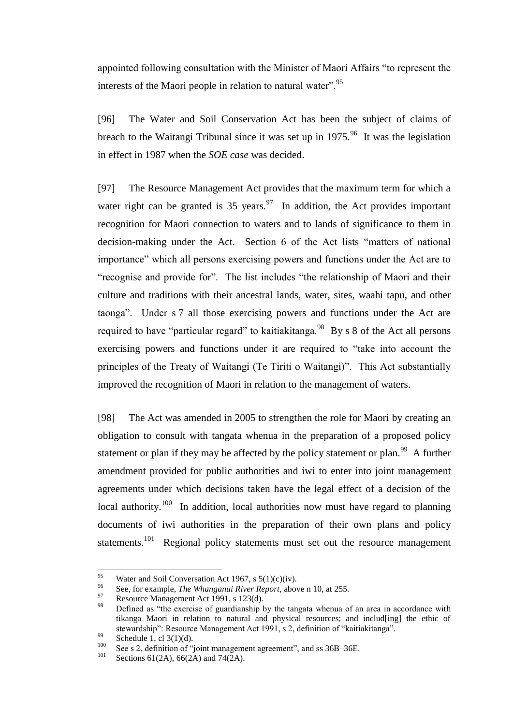appointed following consultation with the Minister of Maori Affairs "to represent the interests of the Maori people in relation to natural water".<sup>95</sup>

[96] The Water and Soil Conservation Act has been the subject of claims of breach to the Waitangi Tribunal since it was set up in  $1975.^{96}$  It was the legislation in effect in 1987 when the *SOE case* was decided.

<span id="page-37-0"></span>[97] The Resource Management Act provides that the maximum term for which a water right can be granted is  $35$  years.<sup>97</sup> In addition, the Act provides important recognition for Maori connection to waters and to lands of significance to them in decision-making under the Act. Section 6 of the Act lists "matters of national importance" which all persons exercising powers and functions under the Act are to "recognise and provide for". The list includes "the relationship of Maori and their culture and traditions with their ancestral lands, water, sites, waahi tapu, and other taonga". Under s 7 all those exercising powers and functions under the Act are required to have "particular regard" to kaitiakitanga.<sup>98</sup> By s 8 of the Act all persons exercising powers and functions under it are required to "take into account the principles of the Treaty of Waitangi (Te Tiriti o Waitangi)". This Act substantially improved the recognition of Maori in relation to the management of waters.

<span id="page-37-1"></span>[98] The Act was amended in 2005 to strengthen the role for Maori by creating an obligation to consult with tangata whenua in the preparation of a proposed policy statement or plan if they may be affected by the policy statement or plan.<sup>99</sup> A further amendment provided for public authorities and iwi to enter into joint management agreements under which decisions taken have the legal effect of a decision of the local authority.<sup>100</sup> In addition, local authorities now must have regard to planning documents of iwi authorities in the preparation of their own plans and policy statements.<sup>101</sup> Regional policy statements must set out the resource management

 $\overline{a}$ 

<sup>&</sup>lt;sup>95</sup> Water and Soil Conversation Act 1967, s  $5(1)(c)(iv)$ .

<sup>96</sup> See, for example, *The Whanganui River Report*, above n [10,](#page-5-1) at 255.

Resource Management Act 1991, s 123(d).

<sup>98</sup> Defined as "the exercise of guardianship by the tangata whenua of an area in accordance with tikanga Maori in relation to natural and physical resources; and includ[ing] the ethic of stewardship": Resource Management Act 1991, s 2, definition of "kaitiakitanga".

<sup>99</sup> Schedule 1, cl  $3(1)(d)$ .

<sup>&</sup>lt;sup>100</sup> See s 2, definition of "joint management agreement", and ss 36B–36E.<br>
Soctions 61(2A), 66(2A), and 74(2A).

Sections 61(2A), 66(2A) and 74(2A).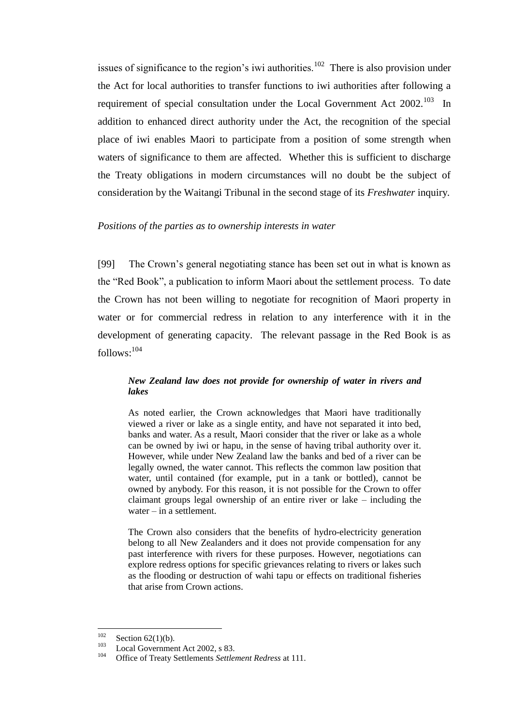issues of significance to the region's iwi authorities.<sup>102</sup> There is also provision under the Act for local authorities to transfer functions to iwi authorities after following a requirement of special consultation under the Local Government Act  $2002$ <sup>103</sup> In addition to enhanced direct authority under the Act, the recognition of the special place of iwi enables Maori to participate from a position of some strength when waters of significance to them are affected. Whether this is sufficient to discharge the Treaty obligations in modern circumstances will no doubt be the subject of consideration by the Waitangi Tribunal in the second stage of its *Freshwater* inquiry*.*

#### *Positions of the parties as to ownership interests in water*

<span id="page-38-0"></span>[99] The Crown's general negotiating stance has been set out in what is known as the "Red Book", a publication to inform Maori about the settlement process. To date the Crown has not been willing to negotiate for recognition of Maori property in water or for commercial redress in relation to any interference with it in the development of generating capacity. The relevant passage in the Red Book is as follows:<sup>104</sup>

### *New Zealand law does not provide for ownership of water in rivers and lakes*

As noted earlier, the Crown acknowledges that Maori have traditionally viewed a river or lake as a single entity, and have not separated it into bed, banks and water. As a result, Maori consider that the river or lake as a whole can be owned by iwi or hapu, in the sense of having tribal authority over it. However, while under New Zealand law the banks and bed of a river can be legally owned, the water cannot. This reflects the common law position that water, until contained (for example, put in a tank or bottled), cannot be owned by anybody. For this reason, it is not possible for the Crown to offer claimant groups legal ownership of an entire river or lake – including the water – in a settlement.

The Crown also considers that the benefits of hydro-electricity generation belong to all New Zealanders and it does not provide compensation for any past interference with rivers for these purposes. However, negotiations can explore redress options for specific grievances relating to rivers or lakes such as the flooding or destruction of wahi tapu or effects on traditional fisheries that arise from Crown actions.

<sup>102</sup>  $\frac{102}{103}$  Section 62(1)(b).

 $^{103}$  Local Government Act 2002, s 83.

<sup>104</sup> Office of Treaty Settlements *Settlement Redress* at 111.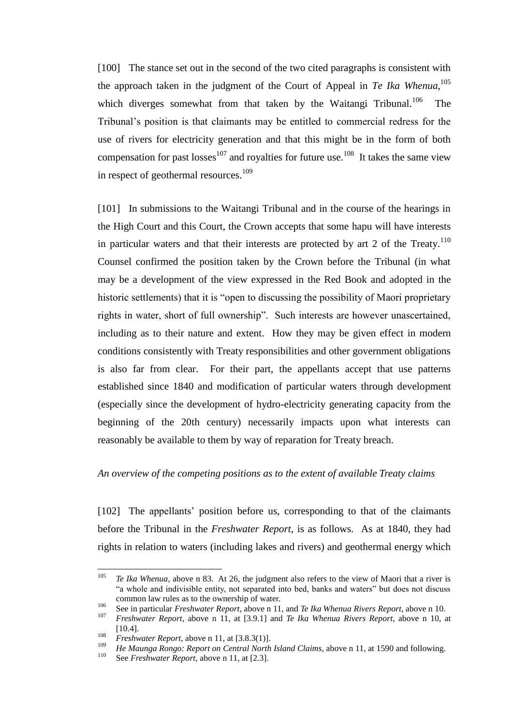[100] The stance set out in the second of the two cited paragraphs is consistent with the approach taken in the judgment of the Court of Appeal in *Te Ika Whenua*, 105 which diverges somewhat from that taken by the Waitangi Tribunal.<sup>106</sup> The Tribunal's position is that claimants may be entitled to commercial redress for the use of rivers for electricity generation and that this might be in the form of both compensation for past losses<sup>107</sup> and royalties for future use.<sup>108</sup> It takes the same view in respect of geothermal resources.<sup>109</sup>

[101] In submissions to the Waitangi Tribunal and in the course of the hearings in the High Court and this Court, the Crown accepts that some hapu will have interests in particular waters and that their interests are protected by art 2 of the Treaty.<sup>110</sup> Counsel confirmed the position taken by the Crown before the Tribunal (in what may be a development of the view expressed in the Red Book and adopted in the historic settlements) that it is "open to discussing the possibility of Maori proprietary rights in water, short of full ownership". Such interests are however unascertained, including as to their nature and extent. How they may be given effect in modern conditions consistently with Treaty responsibilities and other government obligations is also far from clear. For their part, the appellants accept that use patterns established since 1840 and modification of particular waters through development (especially since the development of hydro-electricity generating capacity from the beginning of the 20th century) necessarily impacts upon what interests can reasonably be available to them by way of reparation for Treaty breach.

#### *An overview of the competing positions as to the extent of available Treaty claims*

<span id="page-39-0"></span>[102] The appellants' position before us, corresponding to that of the claimants before the Tribunal in the *Freshwater Report*, is as follows. As at 1840, they had rights in relation to waters (including lakes and rivers) and geothermal energy which

<sup>105</sup> Te Ika Whenua, above n [83.](#page-34-1) At 26, the judgment also refers to the view of Maori that a river is "a whole and indivisible entity, not separated into bed, banks and waters" but does not discuss common law rules as to the ownership of water.

<sup>106</sup> See in particular *Freshwater Report*, above n [11,](#page-5-2) and *Te Ika Whenua Rivers Report*, above [n 10.](#page-5-1)

<sup>107</sup> *Freshwater Report*, above n [11,](#page-5-2) at [3.9.1] and *Te Ika Whenua Rivers Report*, above n [10,](#page-5-1) at [10.4].

<sup>108</sup> *Freshwater Report*, above n [11,](#page-5-2) at [3.8.3(1)].

<sup>&</sup>lt;sup>109</sup> *He Maunga Rongo: Report on Central North Island Claims*, above [n 11,](#page-5-2) at 1590 and following.

See *Freshwater Report*, above n [11,](#page-5-2) at [2.3].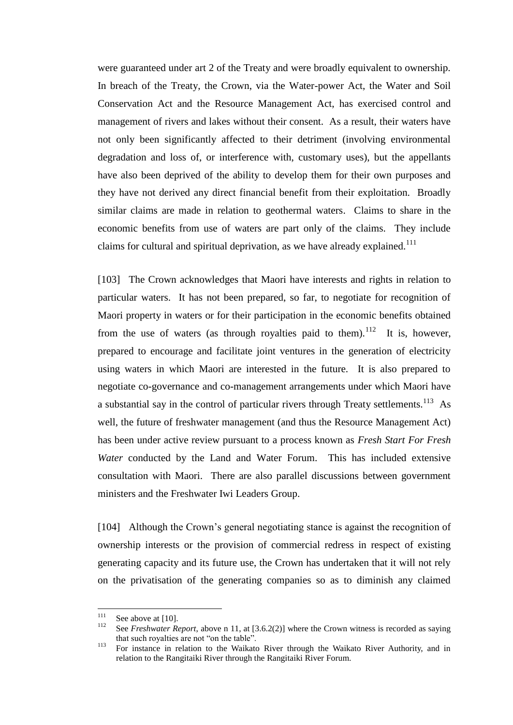were guaranteed under art 2 of the Treaty and were broadly equivalent to ownership. In breach of the Treaty, the Crown, via the Water-power Act, the Water and Soil Conservation Act and the Resource Management Act, has exercised control and management of rivers and lakes without their consent. As a result, their waters have not only been significantly affected to their detriment (involving environmental degradation and loss of, or interference with, customary uses), but the appellants have also been deprived of the ability to develop them for their own purposes and they have not derived any direct financial benefit from their exploitation. Broadly similar claims are made in relation to geothermal waters. Claims to share in the economic benefits from use of waters are part only of the claims. They include claims for cultural and spiritual deprivation, as we have already explained.<sup>111</sup>

[103] The Crown acknowledges that Maori have interests and rights in relation to particular waters. It has not been prepared, so far, to negotiate for recognition of Maori property in waters or for their participation in the economic benefits obtained from the use of waters (as through royalties paid to them).<sup>112</sup> It is, however, prepared to encourage and facilitate joint ventures in the generation of electricity using waters in which Maori are interested in the future. It is also prepared to negotiate co-governance and co-management arrangements under which Maori have a substantial say in the control of particular rivers through Treaty settlements.<sup>113</sup> As well, the future of freshwater management (and thus the Resource Management Act) has been under active review pursuant to a process known as *Fresh Start For Fresh Water* conducted by the Land and Water Forum. This has included extensive consultation with Maori. There are also parallel discussions between government ministers and the Freshwater Iwi Leaders Group.

[104] Although the Crown's general negotiating stance is against the recognition of ownership interests or the provision of commercial redress in respect of existing generating capacity and its future use, the Crown has undertaken that it will not rely on the privatisation of the generating companies so as to diminish any claimed

 $111$  $\frac{111}{112}$  See above a[t \[10\].](#page-5-0)

See *Freshwater Report*, above n [11,](#page-5-2) at [3.6.2(2)] where the Crown witness is recorded as saying that such royalties are not "on the table".

<sup>&</sup>lt;sup>113</sup> For instance in relation to the Waikato River through the Waikato River Authority, and in relation to the Rangitaiki River through the Rangitaiki River Forum.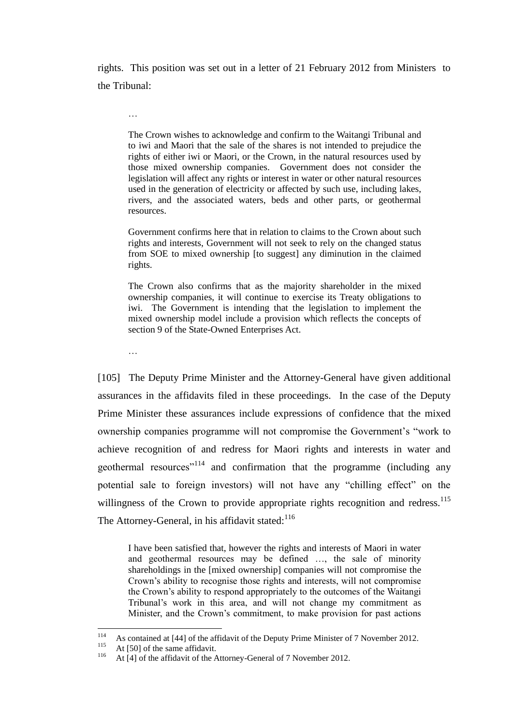rights. This position was set out in a letter of 21 February 2012 from Ministers to the Tribunal:

The Crown wishes to acknowledge and confirm to the Waitangi Tribunal and to iwi and Maori that the sale of the shares is not intended to prejudice the rights of either iwi or Maori, or the Crown, in the natural resources used by those mixed ownership companies. Government does not consider the legislation will affect any rights or interest in water or other natural resources used in the generation of electricity or affected by such use, including lakes, rivers, and the associated waters, beds and other parts, or geothermal resources.

Government confirms here that in relation to claims to the Crown about such rights and interests, Government will not seek to rely on the changed status from SOE to mixed ownership [to suggest] any diminution in the claimed rights.

The Crown also confirms that as the majority shareholder in the mixed ownership companies, it will continue to exercise its Treaty obligations to iwi. The Government is intending that the legislation to implement the mixed ownership model include a provision which reflects the concepts of section 9 of the State-Owned Enterprises Act.

…

…

[105] The Deputy Prime Minister and the Attorney-General have given additional assurances in the affidavits filed in these proceedings. In the case of the Deputy Prime Minister these assurances include expressions of confidence that the mixed ownership companies programme will not compromise the Government's "work to achieve recognition of and redress for Maori rights and interests in water and geothermal resources<sup> $114$ </sup> and confirmation that the programme (including any potential sale to foreign investors) will not have any "chilling effect" on the willingness of the Crown to provide appropriate rights recognition and redress.<sup>115</sup> The Attorney-General, in his affidavit stated: $116$ 

<span id="page-41-0"></span>I have been satisfied that, however the rights and interests of Maori in water and geothermal resources may be defined …, the sale of minority shareholdings in the [mixed ownership] companies will not compromise the Crown's ability to recognise those rights and interests, will not compromise the Crown's ability to respond appropriately to the outcomes of the Waitangi Tribunal's work in this area, and will not change my commitment as Minister, and the Crown's commitment, to make provision for past actions

<sup>114</sup> <sup>114</sup> As contained at [44] of the affidavit of the Deputy Prime Minister of 7 November 2012.

<sup>&</sup>lt;sup>115</sup> At [50] of the same affidavit.

At [4] of the affidavit of the Attorney-General of 7 November 2012.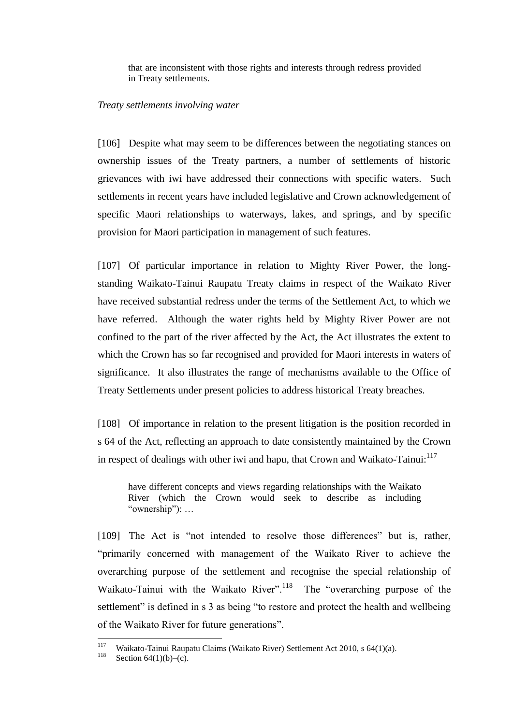that are inconsistent with those rights and interests through redress provided in Treaty settlements.

#### *Treaty settlements involving water*

<span id="page-42-0"></span>[106] Despite what may seem to be differences between the negotiating stances on ownership issues of the Treaty partners, a number of settlements of historic grievances with iwi have addressed their connections with specific waters. Such settlements in recent years have included legislative and Crown acknowledgement of specific Maori relationships to waterways, lakes, and springs, and by specific provision for Maori participation in management of such features.

[107] Of particular importance in relation to Mighty River Power, the longstanding Waikato-Tainui Raupatu Treaty claims in respect of the Waikato River have received substantial redress under the terms of the Settlement Act, to which we have referred. Although the water rights held by Mighty River Power are not confined to the part of the river affected by the Act, the Act illustrates the extent to which the Crown has so far recognised and provided for Maori interests in waters of significance. It also illustrates the range of mechanisms available to the Office of Treaty Settlements under present policies to address historical Treaty breaches.

[108] Of importance in relation to the present litigation is the position recorded in s 64 of the Act, reflecting an approach to date consistently maintained by the Crown in respect of dealings with other iwi and hapu, that Crown and Waikato-Tainui:<sup>117</sup>

have different concepts and views regarding relationships with the Waikato River (which the Crown would seek to describe as including "ownership"): …

[109] The Act is "not intended to resolve those differences" but is, rather, "primarily concerned with management of the Waikato River to achieve the overarching purpose of the settlement and recognise the special relationship of Waikato-Tainui with the Waikato River".<sup>118</sup> The "overarching purpose of the settlement" is defined in s 3 as being "to restore and protect the health and wellbeing of the Waikato River for future generations".

<sup>117</sup> <sup>117</sup> Waikato-Tainui Raupatu Claims (Waikato River) Settlement Act 2010, s 64(1)(a).<br><sup>118</sup> Section 64(1)(b) (c)

Section  $64(1)(b)$ –(c).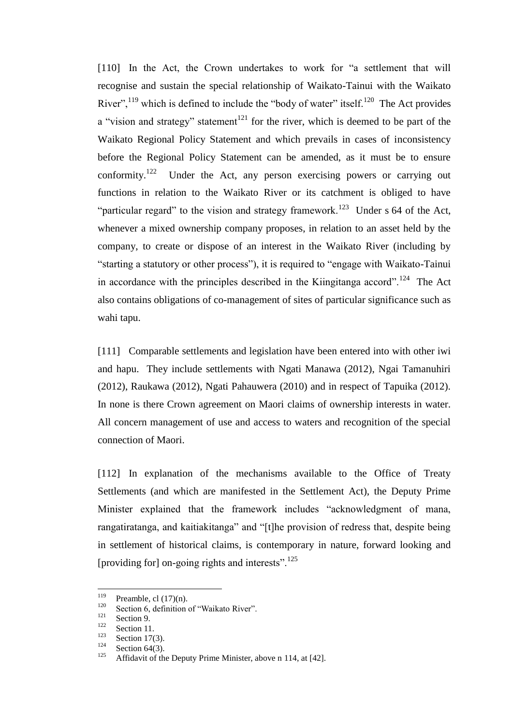[110] In the Act, the Crown undertakes to work for "a settlement that will recognise and sustain the special relationship of Waikato-Tainui with the Waikato River",<sup>119</sup> which is defined to include the "body of water" itself.<sup>120</sup> The Act provides a "vision and strategy" statement<sup>121</sup> for the river, which is deemed to be part of the Waikato Regional Policy Statement and which prevails in cases of inconsistency before the Regional Policy Statement can be amended, as it must be to ensure conformity.<sup>122</sup> Under the Act, any person exercising powers or carrying out functions in relation to the Waikato River or its catchment is obliged to have "particular regard" to the vision and strategy framework.<sup>123</sup> Under s 64 of the Act, whenever a mixed ownership company proposes, in relation to an asset held by the company, to create or dispose of an interest in the Waikato River (including by "starting a statutory or other process"), it is required to "engage with Waikato-Tainui in accordance with the principles described in the Kiingitanga accord".<sup>124</sup> The Act also contains obligations of co-management of sites of particular significance such as wahi tapu.

[111] Comparable settlements and legislation have been entered into with other iwi and hapu. They include settlements with Ngati Manawa (2012), Ngai Tamanuhiri (2012), Raukawa (2012), Ngati Pahauwera (2010) and in respect of Tapuika (2012). In none is there Crown agreement on Maori claims of ownership interests in water. All concern management of use and access to waters and recognition of the special connection of Maori.

[112] In explanation of the mechanisms available to the Office of Treaty Settlements (and which are manifested in the Settlement Act), the Deputy Prime Minister explained that the framework includes "acknowledgment of mana, rangatiratanga, and kaitiakitanga" and "[t]he provision of redress that, despite being in settlement of historical claims, is contemporary in nature, forward looking and [providing for] on-going rights and interests".<sup>125</sup>

<sup>119</sup>  $^{119}$  Preamble, cl (17)(n).

<sup>&</sup>lt;sup>120</sup> Section 6, definition of "Waikato River".

 $\frac{121}{122}$  Section 9.

 $\frac{122}{123}$  Section 11.

 $\frac{123}{124}$  Section 17(3).

<sup>&</sup>lt;sup>124</sup> Section 64(3).

Affidavit of the Deputy Prime Minister, above n [114,](#page-41-0) at [42].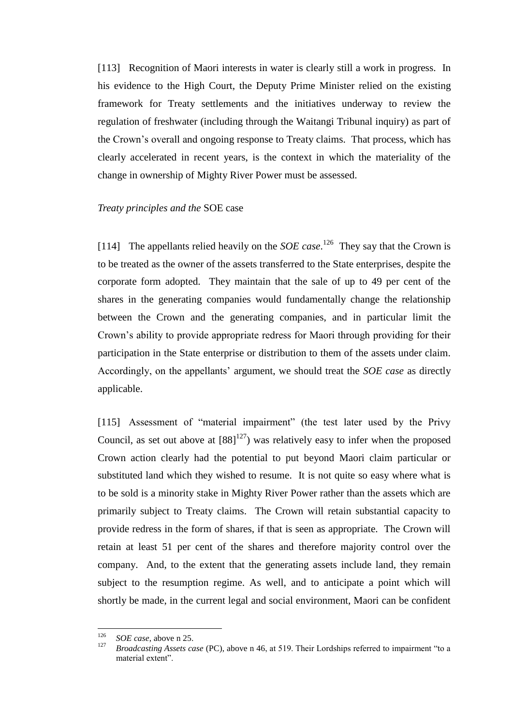[113] Recognition of Maori interests in water is clearly still a work in progress.In his evidence to the High Court, the Deputy Prime Minister relied on the existing framework for Treaty settlements and the initiatives underway to review the regulation of freshwater (including through the Waitangi Tribunal inquiry) as part of the Crown's overall and ongoing response to Treaty claims. That process, which has clearly accelerated in recent years, is the context in which the materiality of the change in ownership of Mighty River Power must be assessed.

#### *Treaty principles and the* SOE case

<span id="page-44-0"></span>[114] The appellants relied heavily on the *SOE case*.<sup>126</sup> They say that the Crown is to be treated as the owner of the assets transferred to the State enterprises, despite the corporate form adopted. They maintain that the sale of up to 49 per cent of the shares in the generating companies would fundamentally change the relationship between the Crown and the generating companies, and in particular limit the Crown's ability to provide appropriate redress for Maori through providing for their participation in the State enterprise or distribution to them of the assets under claim. Accordingly, on the appellants' argument, we should treat the *SOE case* as directly applicable.

[115] Assessment of "material impairment" (the test later used by the Privy Council, as set out above at  $[88]^{127}$ ) was relatively easy to infer when the proposed Crown action clearly had the potential to put beyond Maori claim particular or substituted land which they wished to resume. It is not quite so easy where what is to be sold is a minority stake in Mighty River Power rather than the assets which are primarily subject to Treaty claims. The Crown will retain substantial capacity to provide redress in the form of shares, if that is seen as appropriate. The Crown will retain at least 51 per cent of the shares and therefore majority control over the company. And, to the extent that the generating assets include land, they remain subject to the resumption regime. As well, and to anticipate a point which will shortly be made, in the current legal and social environment, Maori can be confident

<sup>126</sup>  $^{126}$  *SOE case*, above n [25.](#page-8-1)

<sup>127</sup> *Broadcasting Assets case* (PC), above n [46,](#page-16-0) at 519. Their Lordships referred to impairment "to a material extent".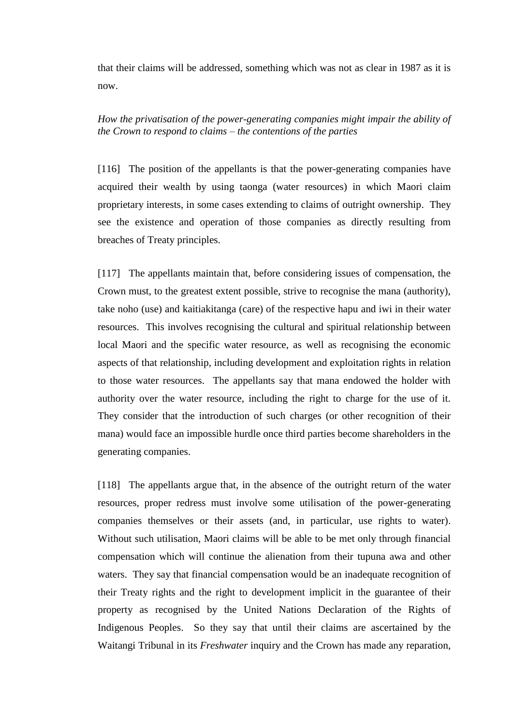that their claims will be addressed, something which was not as clear in 1987 as it is now.

# *How the privatisation of the power-generating companies might impair the ability of the Crown to respond to claims – the contentions of the parties*

<span id="page-45-0"></span>[116] The position of the appellants is that the power-generating companies have acquired their wealth by using taonga (water resources) in which Maori claim proprietary interests, in some cases extending to claims of outright ownership. They see the existence and operation of those companies as directly resulting from breaches of Treaty principles.

[117] The appellants maintain that, before considering issues of compensation, the Crown must, to the greatest extent possible, strive to recognise the mana (authority), take noho (use) and kaitiakitanga (care) of the respective hapu and iwi in their water resources. This involves recognising the cultural and spiritual relationship between local Maori and the specific water resource, as well as recognising the economic aspects of that relationship, including development and exploitation rights in relation to those water resources. The appellants say that mana endowed the holder with authority over the water resource, including the right to charge for the use of it. They consider that the introduction of such charges (or other recognition of their mana) would face an impossible hurdle once third parties become shareholders in the generating companies.

[118] The appellants argue that, in the absence of the outright return of the water resources, proper redress must involve some utilisation of the power-generating companies themselves or their assets (and, in particular, use rights to water). Without such utilisation, Maori claims will be able to be met only through financial compensation which will continue the alienation from their tupuna awa and other waters. They say that financial compensation would be an inadequate recognition of their Treaty rights and the right to development implicit in the guarantee of their property as recognised by the United Nations Declaration of the Rights of Indigenous Peoples. So they say that until their claims are ascertained by the Waitangi Tribunal in its *Freshwater* inquiry and the Crown has made any reparation,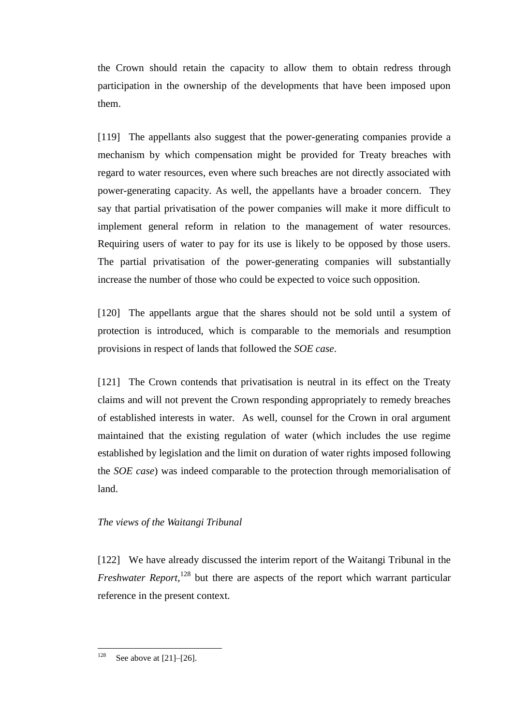the Crown should retain the capacity to allow them to obtain redress through participation in the ownership of the developments that have been imposed upon them.

[119] The appellants also suggest that the power-generating companies provide a mechanism by which compensation might be provided for Treaty breaches with regard to water resources, even where such breaches are not directly associated with power-generating capacity. As well, the appellants have a broader concern. They say that partial privatisation of the power companies will make it more difficult to implement general reform in relation to the management of water resources. Requiring users of water to pay for its use is likely to be opposed by those users. The partial privatisation of the power-generating companies will substantially increase the number of those who could be expected to voice such opposition.

[120] The appellants argue that the shares should not be sold until a system of protection is introduced, which is comparable to the memorials and resumption provisions in respect of lands that followed the *SOE case*.

[121] The Crown contends that privatisation is neutral in its effect on the Treaty claims and will not prevent the Crown responding appropriately to remedy breaches of established interests in water. As well, counsel for the Crown in oral argument maintained that the existing regulation of water (which includes the use regime established by legislation and the limit on duration of water rights imposed following the *SOE case*) was indeed comparable to the protection through memorialisation of land.

### *The views of the Waitangi Tribunal*

<span id="page-46-0"></span>[122] We have already discussed the interim report of the Waitangi Tribunal in the *Freshwater Report*,<sup>128</sup> but there are aspects of the report which warrant particular reference in the present context.

<sup>128</sup> See above at  $[21]$ – $[26]$ .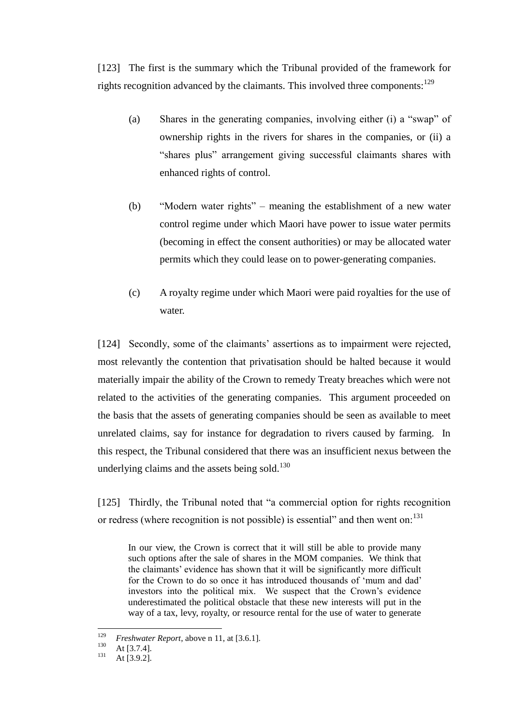<span id="page-47-2"></span>[123] The first is the summary which the Tribunal provided of the framework for rights recognition advanced by the claimants. This involved three components:<sup>129</sup>

- (a) Shares in the generating companies, involving either (i) a "swap" of ownership rights in the rivers for shares in the companies, or (ii) a "shares plus" arrangement giving successful claimants shares with enhanced rights of control.
- (b) "Modern water rights" meaning the establishment of a new water control regime under which Maori have power to issue water permits (becoming in effect the consent authorities) or may be allocated water permits which they could lease on to power-generating companies.
- (c) A royalty regime under which Maori were paid royalties for the use of water.

<span id="page-47-1"></span>[124] Secondly, some of the claimants' assertions as to impairment were rejected, most relevantly the contention that privatisation should be halted because it would materially impair the ability of the Crown to remedy Treaty breaches which were not related to the activities of the generating companies. This argument proceeded on the basis that the assets of generating companies should be seen as available to meet unrelated claims, say for instance for degradation to rivers caused by farming. In this respect, the Tribunal considered that there was an insufficient nexus between the underlying claims and the assets being sold.<sup>130</sup>

<span id="page-47-0"></span>[125] Thirdly, the Tribunal noted that "a commercial option for rights recognition or redress (where recognition is not possible) is essential" and then went on:<sup>131</sup>

In our view, the Crown is correct that it will still be able to provide many such options after the sale of shares in the MOM companies. We think that the claimants' evidence has shown that it will be significantly more difficult for the Crown to do so once it has introduced thousands of 'mum and dad' investors into the political mix. We suspect that the Crown's evidence underestimated the political obstacle that these new interests will put in the way of a tax, levy, royalty, or resource rental for the use of water to generate

<sup>129</sup> <sup>129</sup> *Freshwater Report*, above n [11,](#page-5-2) at [3.6.1].<br><sup>130</sup> **At** [3.7.4]

 $130 \text{ At } [3.7.4].$ 

At  $[3.9.2]$ .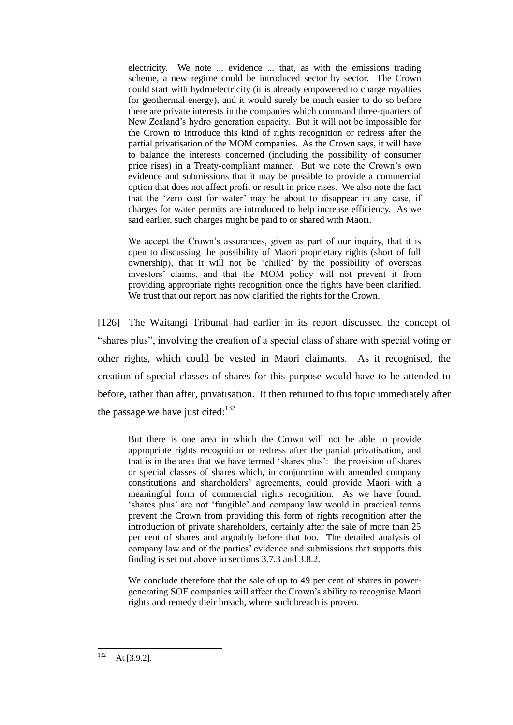electricity. We note ... evidence ... that, as with the emissions trading scheme, a new regime could be introduced sector by sector. The Crown could start with hydroelectricity (it is already empowered to charge royalties for geothermal energy), and it would surely be much easier to do so before there are private interests in the companies which command three-quarters of New Zealand's hydro generation capacity. But it will not be impossible for the Crown to introduce this kind of rights recognition or redress after the partial privatisation of the MOM companies. As the Crown says, it will have to balance the interests concerned (including the possibility of consumer price rises) in a Treaty-compliant manner. But we note the Crown's own evidence and submissions that it may be possible to provide a commercial option that does not affect profit or result in price rises. We also note the fact that the 'zero cost for water' may be about to disappear in any case, if charges for water permits are introduced to help increase efficiency. As we said earlier, such charges might be paid to or shared with Maori.

We accept the Crown's assurances, given as part of our inquiry, that it is open to discussing the possibility of Maori proprietary rights (short of full ownership), that it will not be 'chilled' by the possibility of overseas investors' claims, and that the MOM policy will not prevent it from providing appropriate rights recognition once the rights have been clarified. We trust that our report has now clarified the rights for the Crown.

[126] The Waitangi Tribunal had earlier in its report discussed the concept of "shares plus", involving the creation of a special class of share with special voting or other rights, which could be vested in Maori claimants. As it recognised, the creation of special classes of shares for this purpose would have to be attended to before, rather than after, privatisation. It then returned to this topic immediately after the passage we have just cited: $132$ 

But there is one area in which the Crown will not be able to provide appropriate rights recognition or redress after the partial privatisation, and that is in the area that we have termed 'shares plus': the provision of shares or special classes of shares which, in conjunction with amended company constitutions and shareholders' agreements, could provide Maori with a meaningful form of commercial rights recognition. As we have found, 'shares plus' are not 'fungible' and company law would in practical terms prevent the Crown from providing this form of rights recognition after the introduction of private shareholders, certainly after the sale of more than 25 per cent of shares and arguably before that too. The detailed analysis of company law and of the parties' evidence and submissions that supports this finding is set out above in sections 3.7.3 and 3.8.2.

We conclude therefore that the sale of up to 49 per cent of shares in powergenerating SOE companies will affect the Crown's ability to recognise Maori rights and remedy their breach, where such breach is proven.

<sup>132</sup> At [3.9.2].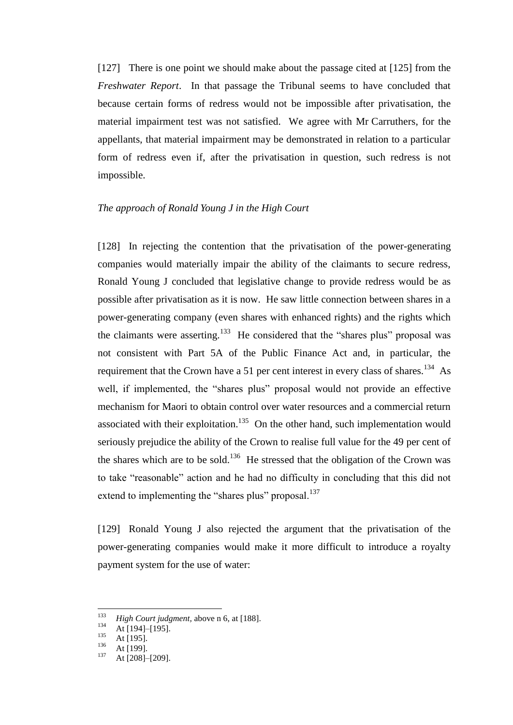[127] There is one point we should make about the passage cited at [\[125\]](#page-47-0) from the *Freshwater Report*. In that passage the Tribunal seems to have concluded that because certain forms of redress would not be impossible after privatisation, the material impairment test was not satisfied. We agree with Mr Carruthers, for the appellants, that material impairment may be demonstrated in relation to a particular form of redress even if, after the privatisation in question, such redress is not impossible.

#### *The approach of Ronald Young J in the High Court*

<span id="page-49-0"></span>[128] In rejecting the contention that the privatisation of the power-generating companies would materially impair the ability of the claimants to secure redress, Ronald Young J concluded that legislative change to provide redress would be as possible after privatisation as it is now. He saw little connection between shares in a power-generating company (even shares with enhanced rights) and the rights which the claimants were asserting.<sup>133</sup> He considered that the "shares plus" proposal was not consistent with Part 5A of the Public Finance Act and, in particular, the requirement that the Crown have a 51 per cent interest in every class of shares.<sup>134</sup> As well, if implemented, the "shares plus" proposal would not provide an effective mechanism for Maori to obtain control over water resources and a commercial return associated with their exploitation.<sup>135</sup> On the other hand, such implementation would seriously prejudice the ability of the Crown to realise full value for the 49 per cent of the shares which are to be sold.<sup>136</sup> He stressed that the obligation of the Crown was to take "reasonable" action and he had no difficulty in concluding that this did not extend to implementing the "shares plus" proposal.<sup>137</sup>

[129] Ronald Young J also rejected the argument that the privatisation of the power-generating companies would make it more difficult to introduce a royalty payment system for the use of water:

<sup>133</sup> <sup>133</sup> *High Court judgment,* above n [6,](#page-3-0) at [188].

 $\frac{134}{135}$  At [194]–[195].

 $135$  At [195].

 $\frac{136}{137}$  At [199].

At [208]-[209].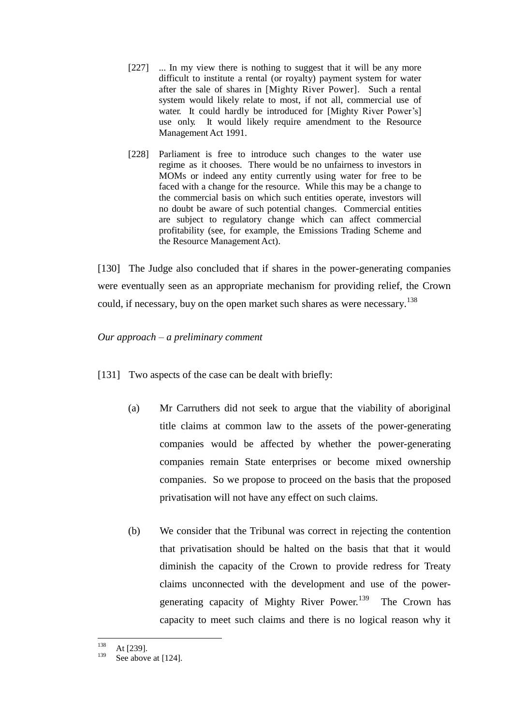- [227] ... In my view there is nothing to suggest that it will be any more difficult to institute a rental (or royalty) payment system for water after the sale of shares in [Mighty River Power]. Such a rental system would likely relate to most, if not all, commercial use of water. It could hardly be introduced for [Mighty River Power's] use only. It would likely require amendment to the Resource Management Act 1991.
- [228] Parliament is free to introduce such changes to the water use regime as it chooses. There would be no unfairness to investors in MOMs or indeed any entity currently using water for free to be faced with a change for the resource. While this may be a change to the commercial basis on which such entities operate, investors will no doubt be aware of such potential changes. Commercial entities are subject to regulatory change which can affect commercial profitability (see, for example, the Emissions Trading Scheme and the Resource Management Act).

[130] The Judge also concluded that if shares in the power-generating companies were eventually seen as an appropriate mechanism for providing relief, the Crown could, if necessary, buy on the open market such shares as were necessary.<sup>138</sup>

*Our approach – a preliminary comment*

- <span id="page-50-0"></span>[131] Two aspects of the case can be dealt with briefly:
	- (a) Mr Carruthers did not seek to argue that the viability of aboriginal title claims at common law to the assets of the power-generating companies would be affected by whether the power-generating companies remain State enterprises or become mixed ownership companies. So we propose to proceed on the basis that the proposed privatisation will not have any effect on such claims.
	- (b) We consider that the Tribunal was correct in rejecting the contention that privatisation should be halted on the basis that that it would diminish the capacity of the Crown to provide redress for Treaty claims unconnected with the development and use of the powergenerating capacity of Mighty River Power.<sup>139</sup> The Crown has capacity to meet such claims and there is no logical reason why it

<sup>138</sup>  $\frac{138}{139}$  At [239].

See above a[t \[124\].](#page-47-1)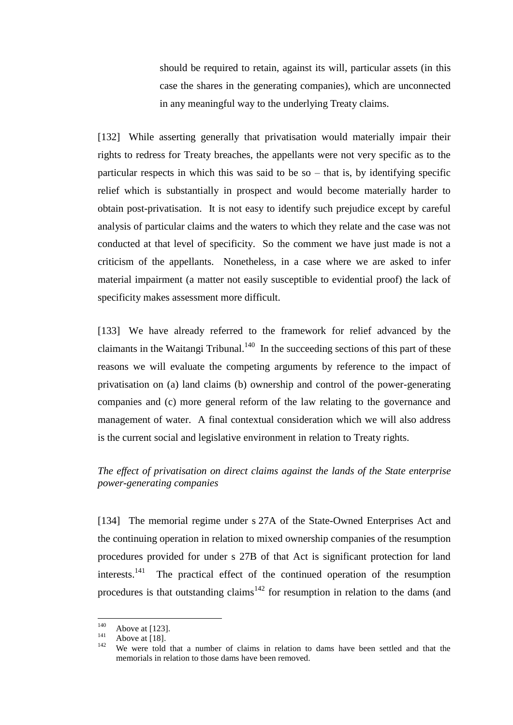should be required to retain, against its will, particular assets (in this case the shares in the generating companies), which are unconnected in any meaningful way to the underlying Treaty claims.

[132] While asserting generally that privatisation would materially impair their rights to redress for Treaty breaches, the appellants were not very specific as to the particular respects in which this was said to be so  $-$  that is, by identifying specific relief which is substantially in prospect and would become materially harder to obtain post-privatisation. It is not easy to identify such prejudice except by careful analysis of particular claims and the waters to which they relate and the case was not conducted at that level of specificity. So the comment we have just made is not a criticism of the appellants. Nonetheless, in a case where we are asked to infer material impairment (a matter not easily susceptible to evidential proof) the lack of specificity makes assessment more difficult.

[133] We have already referred to the framework for relief advanced by the claimants in the Waitangi Tribunal.<sup>140</sup> In the succeeding sections of this part of these reasons we will evaluate the competing arguments by reference to the impact of privatisation on (a) land claims (b) ownership and control of the power-generating companies and (c) more general reform of the law relating to the governance and management of water. A final contextual consideration which we will also address is the current social and legislative environment in relation to Treaty rights.

# *The effect of privatisation on direct claims against the lands of the State enterprise power-generating companies*

<span id="page-51-0"></span>[134] The memorial regime under s 27A of the State-Owned Enterprises Act and the continuing operation in relation to mixed ownership companies of the resumption procedures provided for under s 27B of that Act is significant protection for land interests.<sup>141</sup> The practical effect of the continued operation of the resumption procedures is that outstanding claims<sup>142</sup> for resumption in relation to the dams (and

<sup>140</sup>  $^{140}$  Above at [\[123\].](#page-47-2)

 $141$  Above at [\[18\].](#page-9-0)

We were told that a number of claims in relation to dams have been settled and that the memorials in relation to those dams have been removed.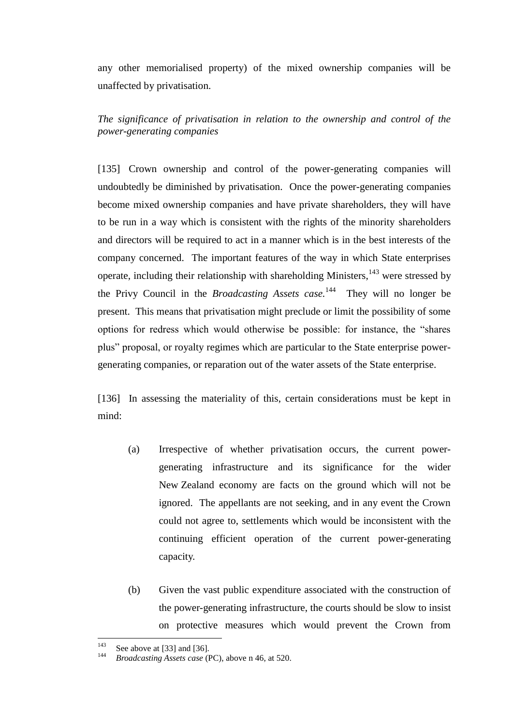any other memorialised property) of the mixed ownership companies will be unaffected by privatisation.

*The significance of privatisation in relation to the ownership and control of the power-generating companies*

<span id="page-52-0"></span>[135] Crown ownership and control of the power-generating companies will undoubtedly be diminished by privatisation. Once the power-generating companies become mixed ownership companies and have private shareholders, they will have to be run in a way which is consistent with the rights of the minority shareholders and directors will be required to act in a manner which is in the best interests of the company concerned. The important features of the way in which State enterprises operate, including their relationship with shareholding Ministers,  $143$  were stressed by the Privy Council in the *Broadcasting Assets case*.<sup>144</sup> They will no longer be present. This means that privatisation might preclude or limit the possibility of some options for redress which would otherwise be possible: for instance, the "shares plus" proposal, or royalty regimes which are particular to the State enterprise powergenerating companies, or reparation out of the water assets of the State enterprise.

[136] In assessing the materiality of this, certain considerations must be kept in mind:

- (a) Irrespective of whether privatisation occurs, the current powergenerating infrastructure and its significance for the wider New Zealand economy are facts on the ground which will not be ignored. The appellants are not seeking, and in any event the Crown could not agree to, settlements which would be inconsistent with the continuing efficient operation of the current power-generating capacity.
- (b) Given the vast public expenditure associated with the construction of the power-generating infrastructure, the courts should be slow to insist on protective measures which would prevent the Crown from

 $143$ <sup>143</sup> See above a[t \[33\]](#page-15-3) and [\[36\].](#page-16-1)

<sup>144</sup> *Broadcasting Assets case* (PC), above n [46,](#page-16-0) at 520.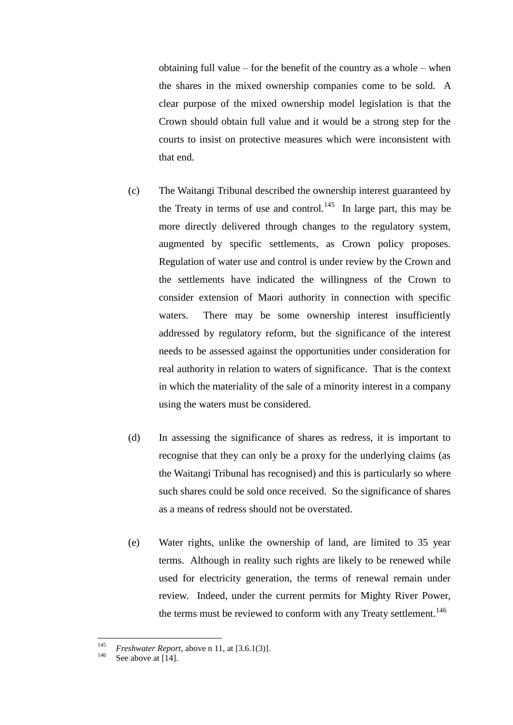obtaining full value – for the benefit of the country as a whole – when the shares in the mixed ownership companies come to be sold. A clear purpose of the mixed ownership model legislation is that the Crown should obtain full value and it would be a strong step for the courts to insist on protective measures which were inconsistent with that end.

- (c) The Waitangi Tribunal described the ownership interest guaranteed by the Treaty in terms of use and control.<sup>145</sup> In large part, this may be more directly delivered through changes to the regulatory system, augmented by specific settlements, as Crown policy proposes. Regulation of water use and control is under review by the Crown and the settlements have indicated the willingness of the Crown to consider extension of Maori authority in connection with specific waters. There may be some ownership interest insufficiently addressed by regulatory reform, but the significance of the interest needs to be assessed against the opportunities under consideration for real authority in relation to waters of significance. That is the context in which the materiality of the sale of a minority interest in a company using the waters must be considered.
- (d) In assessing the significance of shares as redress, it is important to recognise that they can only be a proxy for the underlying claims (as the Waitangi Tribunal has recognised) and this is particularly so where such shares could be sold once received. So the significance of shares as a means of redress should not be overstated.
- (e) Water rights, unlike the ownership of land, are limited to 35 year terms. Although in reality such rights are likely to be renewed while used for electricity generation, the terms of renewal remain under review. Indeed, under the current permits for Mighty River Power, the terms must be reviewed to conform with any Treaty settlement.<sup>146</sup>

<sup>145</sup> <sup>145</sup> *Freshwater Report*, above n [11,](#page-5-2) at [3.6.1(3)].

See above a[t \[14\].](#page-7-0)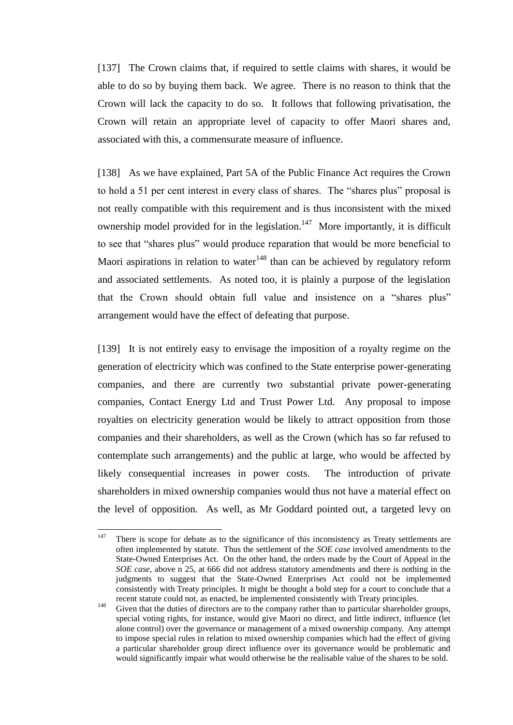[137] The Crown claims that, if required to settle claims with shares, it would be able to do so by buying them back. We agree. There is no reason to think that the Crown will lack the capacity to do so. It follows that following privatisation, the Crown will retain an appropriate level of capacity to offer Maori shares and, associated with this, a commensurate measure of influence.

[138] As we have explained, Part 5A of the Public Finance Act requires the Crown to hold a 51 per cent interest in every class of shares. The "shares plus" proposal is not really compatible with this requirement and is thus inconsistent with the mixed ownership model provided for in the legislation.<sup>147</sup> More importantly, it is difficult to see that "shares plus" would produce reparation that would be more beneficial to Maori aspirations in relation to water $148$  than can be achieved by regulatory reform and associated settlements. As noted too, it is plainly a purpose of the legislation that the Crown should obtain full value and insistence on a "shares plus" arrangement would have the effect of defeating that purpose.

[139] It is not entirely easy to envisage the imposition of a royalty regime on the generation of electricity which was confined to the State enterprise power-generating companies, and there are currently two substantial private power-generating companies, Contact Energy Ltd and Trust Power Ltd. Any proposal to impose royalties on electricity generation would be likely to attract opposition from those companies and their shareholders, as well as the Crown (which has so far refused to contemplate such arrangements) and the public at large, who would be affected by likely consequential increases in power costs. The introduction of private shareholders in mixed ownership companies would thus not have a material effect on the level of opposition. As well, as Mr Goddard pointed out, a targeted levy on

<sup>147</sup> There is scope for debate as to the significance of this inconsistency as Treaty settlements are often implemented by statute. Thus the settlement of the *SOE case* involved amendments to the State-Owned Enterprises Act. On the other hand, the orders made by the Court of Appeal in the *SOE case*, above n [25,](#page-8-1) at 666 did not address statutory amendments and there is nothing in the judgments to suggest that the State-Owned Enterprises Act could not be implemented consistently with Treaty principles. It might be thought a bold step for a court to conclude that a recent statute could not, as enacted, be implemented consistently with Treaty principles.

<sup>&</sup>lt;sup>148</sup> Given that the duties of directors are to the company rather than to particular shareholder groups, special voting rights, for instance, would give Maori no direct, and little indirect, influence (let alone control) over the governance or management of a mixed ownership company. Any attempt to impose special rules in relation to mixed ownership companies which had the effect of giving a particular shareholder group direct influence over its governance would be problematic and would significantly impair what would otherwise be the realisable value of the shares to be sold.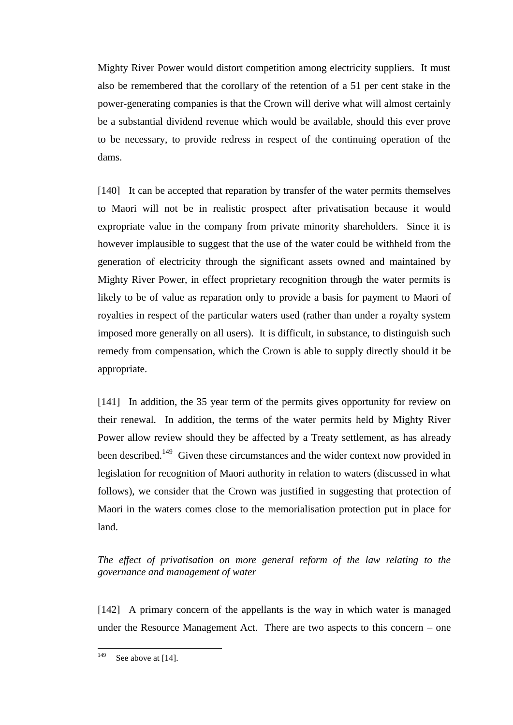Mighty River Power would distort competition among electricity suppliers. It must also be remembered that the corollary of the retention of a 51 per cent stake in the power-generating companies is that the Crown will derive what will almost certainly be a substantial dividend revenue which would be available, should this ever prove to be necessary, to provide redress in respect of the continuing operation of the dams.

[140] It can be accepted that reparation by transfer of the water permits themselves to Maori will not be in realistic prospect after privatisation because it would expropriate value in the company from private minority shareholders. Since it is however implausible to suggest that the use of the water could be withheld from the generation of electricity through the significant assets owned and maintained by Mighty River Power, in effect proprietary recognition through the water permits is likely to be of value as reparation only to provide a basis for payment to Maori of royalties in respect of the particular waters used (rather than under a royalty system imposed more generally on all users). It is difficult, in substance, to distinguish such remedy from compensation, which the Crown is able to supply directly should it be appropriate.

[141] In addition, the 35 year term of the permits gives opportunity for review on their renewal. In addition, the terms of the water permits held by Mighty River Power allow review should they be affected by a Treaty settlement, as has already been described.<sup>149</sup> Given these circumstances and the wider context now provided in legislation for recognition of Maori authority in relation to waters (discussed in what follows), we consider that the Crown was justified in suggesting that protection of Maori in the waters comes close to the memorialisation protection put in place for land.

*The effect of privatisation on more general reform of the law relating to the governance and management of water*

<span id="page-55-0"></span>[142] A primary concern of the appellants is the way in which water is managed under the Resource Management Act. There are two aspects to this concern – one

<sup>149</sup> See above at [14].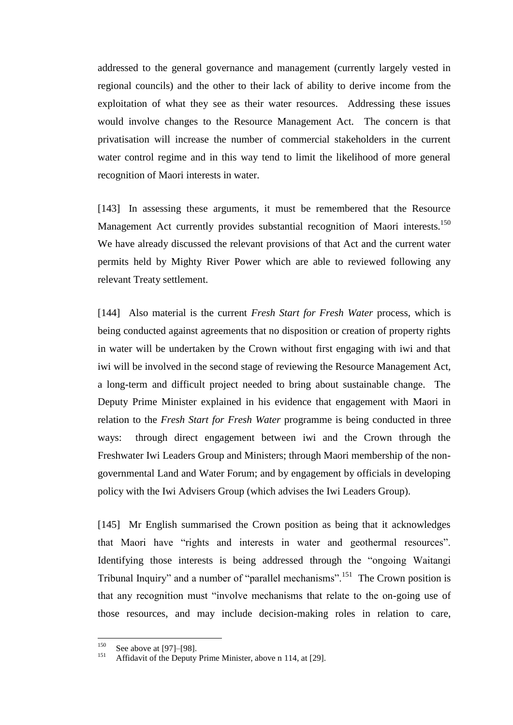addressed to the general governance and management (currently largely vested in regional councils) and the other to their lack of ability to derive income from the exploitation of what they see as their water resources. Addressing these issues would involve changes to the Resource Management Act. The concern is that privatisation will increase the number of commercial stakeholders in the current water control regime and in this way tend to limit the likelihood of more general recognition of Maori interests in water.

[143] In assessing these arguments, it must be remembered that the Resource Management Act currently provides substantial recognition of Maori interests.<sup>150</sup> We have already discussed the relevant provisions of that Act and the current water permits held by Mighty River Power which are able to reviewed following any relevant Treaty settlement.

[144] Also material is the current *Fresh Start for Fresh Water* process, which is being conducted against agreements that no disposition or creation of property rights in water will be undertaken by the Crown without first engaging with iwi and that iwi will be involved in the second stage of reviewing the Resource Management Act, a long-term and difficult project needed to bring about sustainable change. The Deputy Prime Minister explained in his evidence that engagement with Maori in relation to the *Fresh Start for Fresh Water* programme is being conducted in three ways: through direct engagement between iwi and the Crown through the Freshwater Iwi Leaders Group and Ministers; through Maori membership of the nongovernmental Land and Water Forum; and by engagement by officials in developing policy with the Iwi Advisers Group (which advises the Iwi Leaders Group).

[145] Mr English summarised the Crown position as being that it acknowledges that Maori have "rights and interests in water and geothermal resources". Identifying those interests is being addressed through the "ongoing Waitangi Tribunal Inquiry" and a number of "parallel mechanisms".<sup>151</sup> The Crown position is that any recognition must "involve mechanisms that relate to the on-going use of those resources, and may include decision-making roles in relation to care,

<sup>150</sup> <sup>150</sup> See above a[t \[97\]–](#page-37-0)[\[98\].](#page-37-1)

Affidavit of the Deputy Prime Minister, above n [114,](#page-41-0) at [29].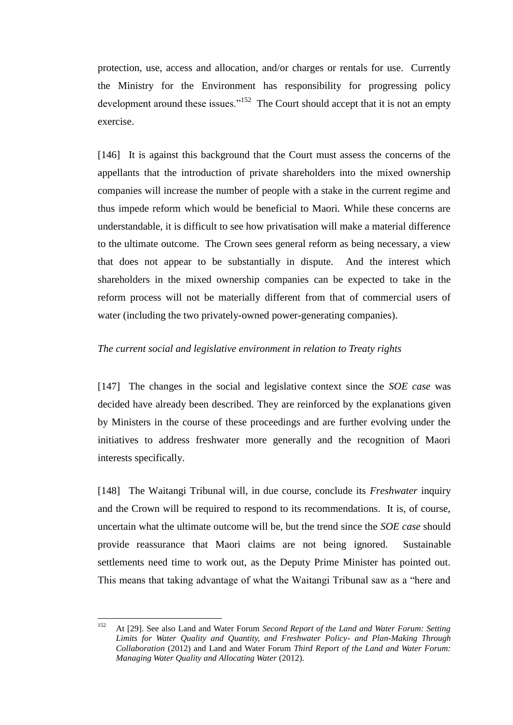protection, use, access and allocation, and/or charges or rentals for use. Currently the Ministry for the Environment has responsibility for progressing policy development around these issues."<sup>152</sup> The Court should accept that it is not an empty exercise.

[146] It is against this background that the Court must assess the concerns of the appellants that the introduction of private shareholders into the mixed ownership companies will increase the number of people with a stake in the current regime and thus impede reform which would be beneficial to Maori. While these concerns are understandable, it is difficult to see how privatisation will make a material difference to the ultimate outcome. The Crown sees general reform as being necessary, a view that does not appear to be substantially in dispute. And the interest which shareholders in the mixed ownership companies can be expected to take in the reform process will not be materially different from that of commercial users of water (including the two privately-owned power-generating companies).

### *The current social and legislative environment in relation to Treaty rights*

<span id="page-57-0"></span>[147] The changes in the social and legislative context since the *SOE case* was decided have already been described. They are reinforced by the explanations given by Ministers in the course of these proceedings and are further evolving under the initiatives to address freshwater more generally and the recognition of Maori interests specifically.

[148] The Waitangi Tribunal will, in due course, conclude its *Freshwater* inquiry and the Crown will be required to respond to its recommendations. It is, of course, uncertain what the ultimate outcome will be, but the trend since the *SOE case* should provide reassurance that Maori claims are not being ignored. Sustainable settlements need time to work out, as the Deputy Prime Minister has pointed out. This means that taking advantage of what the Waitangi Tribunal saw as a "here and

<sup>152</sup> <sup>152</sup> At [29]. See also Land and Water Forum *Second Report of the Land and Water Forum: Setting Limits for Water Quality and Quantity, and Freshwater Policy- and Plan-Making Through Collaboration* (2012) and Land and Water Forum *Third Report of the Land and Water Forum: Managing Water Quality and Allocating Water* (2012).